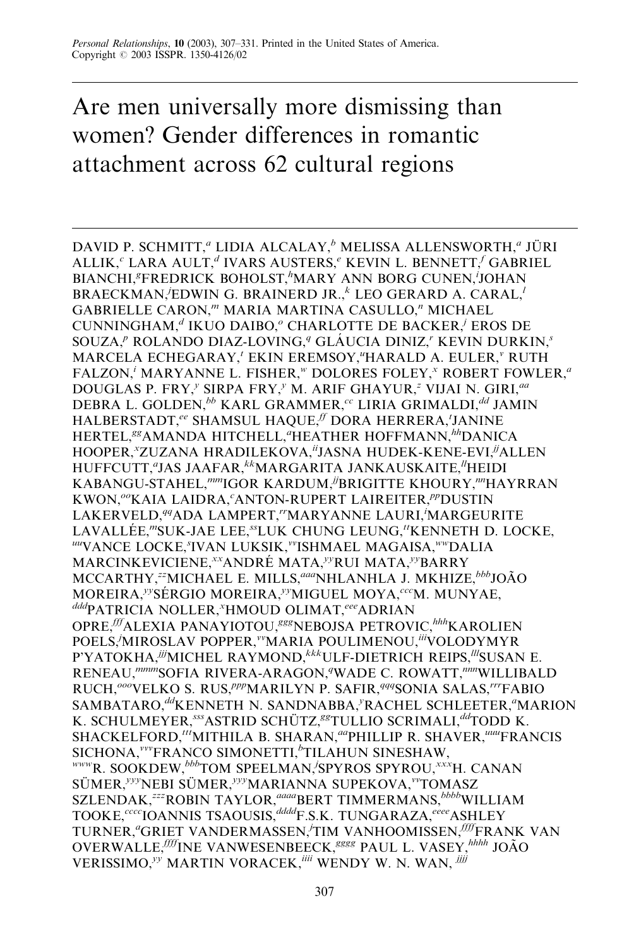# Are men universally more dismissing than women? Gender differences in romantic attachment across 62 cultural regions

DAVID P. SCHMITT, $a$  LIDIA ALCALAY, $b$  MELISSA ALLENSWORTH, $a$  JÜRI ALLIK, $c$  LARA AULT, $d$  IVARS AUSTERS, $e$  KEVIN L. BENNETT, $f$  GABRIEL BIANCHI,<sup>g</sup>FREDRICK BOHOLST,<sup>h</sup>MARY ANN BORG CUNEN,<sup>i</sup>JOHAN BRAECKMAN, EDWIN G. BRAINERD JR., EEO GERARD A. CARAL, GABRIELLE CARON," MARIA MARTINA CASULLO," MICHAEL CUNNINGHAM, $d$  IKUO DAIBO, $\degree$  CHARLOTTE DE BACKER, $\degree$  EROS DE SOUZA, $p$  ROLANDO DIAZ-LOVING, $q$  GLAUCIA DINIZ, $r$  KEVIN DURKIN, $s$ MARCELA ECHEGARAY,<sup>t</sup> EKIN EREMSOY,"HARALD A. EULER," RUTH FALZON,<sup>i</sup> MARYANNE L. FISHER,<sup>w</sup> DOLORES FOLEY,<sup>x</sup> ROBERT FOWLER,<sup>a</sup> DOUGLAS P. FRY,<sup>y</sup> SIRPA FRY,<sup>y</sup> M. ARIF GHAYUR,<sup>z</sup> VIJAI N. GIRI,<sup>aa</sup> DEBRA L. GOLDEN,<sup>bb</sup> KARL GRAMMER,<sup>cc</sup> LIRIA GRIMALDI,<sup>dd</sup> JAMIN HALBERSTADT, $^{ee}$  SHAMSUL HAQUE, $^{ff}$  DORA HERRERA,<sup>t</sup>JANINE HERTEL, <sup>gg</sup> AMANDA HITCHELL, "HEATHER HOFFMANN, <sup>hh</sup>DANICA HOOPER, "ZUZANA HRADILEKOVA, "JASNA HUDEK-KENE-EVI,"ALLEN HUFFCUTT,ªJAS JAAFAR,<sup>kk</sup>MARGARITA JANKAUSKAITE,<sup>#</sup>HEIDI KABANGU-STAHEL, mmIGOR KARDUM, JBRIGITTE KHOURY, "MHAYRRAN KWON,<sup>oo</sup>KAIA LAIDRA,<sup>c</sup>ANTON-RUPERT LAIREITER,<sup>pp</sup>DUSTIN LAKERVELD,<sup>qq</sup>ADA LAMPERT,"'MARYANNE LAURI,<sup>i</sup>MARGEURITE LAVALLÉE,"SUK-JAE LEE, SLUK CHUNG LEUNG,"KENNETH D. LOCKE, <sup>UII</sup>VANCE LOCKE,<sup>s</sup>IVAN LUKSIK,<sup>vv</sup>ISHMAEL MAGAISA,<sup>ww</sup>DALIA MARCINKEVICIENE, xx ANDRÉ MATA, yyRUI MATA, yyBARRY MCCARTHY,<sup>zz</sup>MICHAEL E. MILLS,<sup>aaa</sup>NHLANHLA J. MKHIZE,<sup>bbb</sup>JOÃO MOREIRA,<sup>yy</sup>SÉRGIO MOREIRA,<sup>yy</sup>MIGUEL MOYA,<sup>ccc</sup>M. MUNYAE, dddPATRICIA NOLLER, "HMOUD OLIMAT, <sup>eee</sup> ADRIAN OPRE, fff ALEXIA PANAYIOTOU, SSS NEBOJSA PETROVIC, hhhKAROLIEN POELS, MIROSLAV POPPER, "MARIA POULIMENOU, "VOLODYMYR P'YATOKHA, WICHEL RAYMOND, \*\*\* ULF-DIETRICH REIPS, "SUSAN E. RENEAU,""""SOFIA RIVERA-ARAGON,"WADE C. ROWATT,"""WILLIBALD RUCH,<sup>ooo</sup>VELKO S. RUS,<sup>ppp</sup>MARILYN P. SAFIR,<sup>qqq</sup>SONIA SALAS,<sup>rr</sup>FABIO SAMBATARO, <sup>dd</sup>KENNETH N. SANDNABBA, <sup>y</sup>RACHEL SCHLEETER, "MARION K. SCHULMEYER, SSS ASTRID SCHÜTZ, SSTULLIO SCRIMALI, dd TODD K. SHACKELFORD,<sup>ttt</sup>MITHILA B. SHARAN,<sup>aa</sup>PHILLIP R. SHAVER,<sup>uuu</sup>FRANCIS SICHONA,<sup>vvv</sup>FRANCO SIMONETTI,<sup>b</sup>TILAHUN SINESHAW, SICHONA,""FRANCO SIMONETTI,"TILAHUN SINESHAW,<br>"""R. SOOKDEW,<sup>bbb</sup>TOM SPEELMAN,'SPYROS SPYROU,<sup>xxx</sup>H. CANAN SÜMER,<sup>yyy</sup>NEBI SÜMER,<sup>yyy</sup>MARIANNA SUPEKOVA,<sup>vy</sup>TOMASZ SZLENDAK,<sup>zzz</sup>ROBIN TAYLOR,<sup>aaaa</sup>BERT TIMMERMANS,<sup>bbbb</sup>WILLIAM TOOKE,<sup>cccc</sup>IOANNIS TSAOUSIS,<sup>dddd</sup>F.S.K. TUNGARAZA,<sup>eeee</sup>ASHLEY TURNER, "GRIET VANDERMASSEN, TIM VANHOOMISSEN, FFRANK VAN OVERWALLE,  $\!f\!f\!f\!f}$ INE VANWESENBEECK, $^{gggg}$ PAUL L. VASEY, $^{hhh}$ JOÃO VERISSIMO,<sup>yy</sup> MARTIN VORACEK,<sup>iiii</sup> WENDY W. N. WAN, <sup>jijj</sup>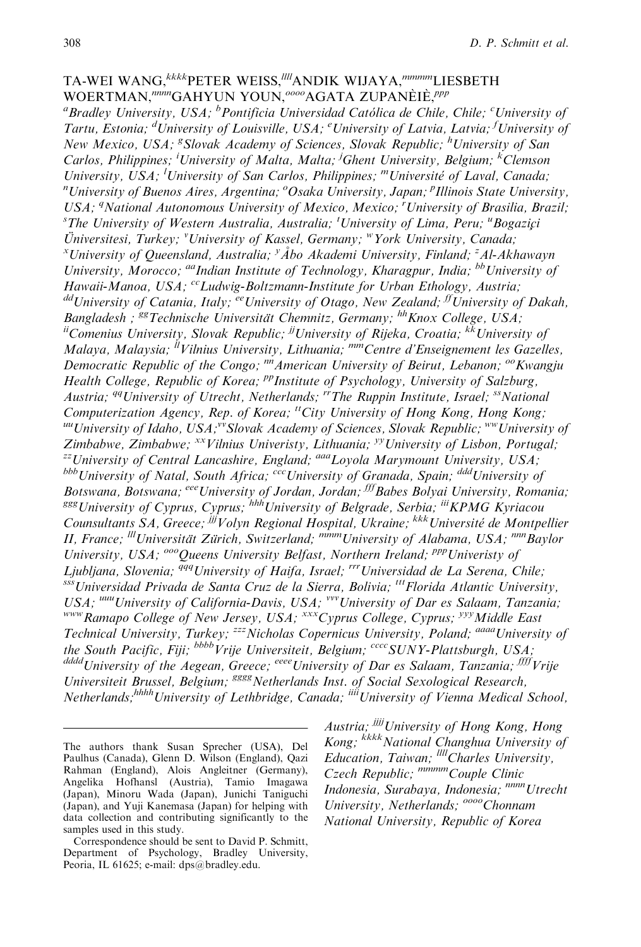# TA-WEI WANG, <sup>kkkk</sup>PETER WEISS,<sup>IIII</sup>ANDIK WIJAYA,"""""LIESBETH WOERTMAN,<sup>mnnn</sup>GAHYUN YOUN,<sup>oooo</sup>AGATA ZUPANÈIÈ,<sup>ppp</sup>

<sup>a</sup> Bradley University, USA; <sup>b</sup> Pontificia Universidad Católica de Chile, Chile; <sup>c</sup> University of Tartu, Estonia; <sup>d</sup>University of Louisville, USA; <sup>e</sup>University of Latvia, Latvia; <sup>f</sup>University of New Mexico, USA; <sup>g</sup>Slovak Academy of Sciences, Slovak Republic; <sup>h</sup>University of San Carlos, Philippines; <sup>i</sup>University of Malta, Malta; <sup>j</sup>Ghent University, Belgium; <sup>k</sup>Clemson University, USA; <sup>1</sup>University of San Carlos, Philippines; <sup>m</sup>Universite of Laval, Canada;<br><sup>n</sup>University of Buenos Aires, Argentina; <sup>o</sup>Oseka University, Japan; <sup>p</sup>Illineis State Univers University of Buenos Aires, Argentina; <sup>o</sup>Osaka University, Japan; <sup>p</sup>Illinois State University, USA; <sup>q</sup>National Autonomous University of Mexico, Mexico; <sup>r</sup>University of Brasilia, Brazil;<br><sup>8</sup>The University of Western Australia, Australia: <sup>†</sup>University of Lima, Beru: <sup>u</sup> Bogaziei The University of Western Australia, Australia; <sup>t</sup>University of Lima, Peru; <sup>u</sup>Bogaziçi Universitesi, Turkey; "University of Kassel, Germany; "York University, Canada;<br>"University of Queensland, Australia: "Åbo, Akadami University, Finland; "Al, Akl University of Queensland, Australia;  $\chi^2$  Åbo Akademi University, Finland; <sup>z</sup> Al-Akhawayn University, Morocco;  $\alpha$ <sup>aa</sup>Indian Institute of Technology, Kharagpur, India;  $^{bb}$ University of Hawaii-Manoa, USA;  $^{cc}$ Ludwig-Boltzmann-Institute for Urban Ethology, Austria; <sup>dd</sup>University of Catania, Italy; <sup>ee</sup>University of Otago, New Zealand; <sup>ff</sup>University of Dakah,<br>Bangladesh; <sup>gg</sup>Technische Universität Chemnitz, Germany; <sup>hh</sup>Knox College, USA; iiComenius University, Slovak Republic; <sup>jj</sup>University of Rijeka, Croatia; <sup>kk</sup>University of Malaya, Malaysia; <sup>il</sup>Vilnius University, Lithuania; <sup>mm</sup>Centre d'Enseignement les Gazelles, Democratic Republic of the Congo;  $^{nn}$ American University of Beirut, Lebanon;  $^{oo}Kw$ angju Health College, Republic of Korea;  $P<sup>p</sup>$ Institute of Psychology, University of Salzburg, Austria; <sup>qq</sup>University of Utrecht, Netherlands; <sup>rr</sup>The Ruppin Institute, Israel; <sup>ss</sup>National Computerization Agency, Rep. of Korea; <sup>tt</sup>City University of Hong Kong, Hong Kong; university of university of  $u$ <sup>2</sup> University of  $u$ <sup>2</sup> University of Zimbabwe, Zimbabwe;  $^{xx}$ Vilnius Univeristy, Lithuania;  $^{yy}$ University of Lisbon, Portugal;  $^{zz}$ University of Central Lancashire, England;  $^{aaa}$ Loyola Marymount University, USA; <sup>bbb</sup>University of Natal, South Africa; <sup>ccc</sup>University of Granada, Spain; <sup>ddd</sup>University of Botswana, Botswana; <sup>eee</sup>University of Jordan, Jordan; <sup>fff</sup> Babes Bolyai University, Romania; <sup>888</sup>University of Cyprus, Cyprus; hhh University of Belgrade, Serbia; iiiKPMG Kyriacou Counsultants SA, Greece;  $^{jj}$ Volyn Regional Hospital, Ukraine; <sup>kkk</sup>Université de Montpellier II, France; <sup>III</sup> Universität Zürich, Switzerland; <sup>mmm</sup>University of Alabama, USA; <sup>nnn</sup>Baylor University, USA;  $^{000}$ Queens University Belfast, Northern Ireland; <sup>ppp</sup>Univeristy of<br>Ljubljana, Slovenia; <sup>qqq</sup>University of Haifa, Israel; <sup>rrr</sup>Universidad de La Serena, Chile; <sup>555</sup>Universidad Privada de Santa Cruz de la Sierra, Bolivia; <sup>ttt</sup>Florida Atlantic University, USA;  $u_{\mu}$ University of California-Davis, USA;  $v_{\mu}$ University of Dar es Salaam, Tanzania;  $v_{\mu}$ www.Ramapo College of New Jersey, USA;  $x_{\mu}$ Cyprus College, Cyprus;  $v_{\mu}$ Middle East Technical University, Turkey; <sup>zzz</sup>Nicholas Copernicus University, Poland; <sup>aaaa</sup>University of the South Pacific, Fiji;  $^{bbb}V$ rije Universiteit, Belgium;  $^{cccc}SUNY$ -Plattsburgh, USA;  $\frac{d}{d}$ University of the Aegean, Greece;  $\frac{eee}{dt}$ University of Dar es Salaam, Tanzania;  $\frac{f}{d}$ Vrije Universiteit Brussel, Belgium; <sup>gggg</sup>Netherlands Inst. of Social Sexological Research, Netherlands;<sup>hhhh</sup>University of Lethbridge, Canada; <sup>iiii</sup>University of Vienna Medical School,

Correspondence should be sent to David P. Schmitt, Department of Psychology, Bradley University, Peoria, IL 61625; e-mail: dps@bradley.edu.

Austria;  $^{jjjj}$ University of Hong Kong, Hong Kong; <sup>kkkk</sup>National Changhua University of Education, Taiwan; <sup>IIII</sup>Charles University, Czech Republic; mmmmCouple Clinic Indonesia, Surabaya, Indonesia; nnnn Utrecht University, Netherlands; <sup>oooo</sup>Chonnam National University, Republic of Korea

The authors thank Susan Sprecher (USA), Del Paulhus (Canada), Glenn D. Wilson (England), Qazi Rahman (England), Alois Angleitner (Germany), Angelika Hofhansl (Austria), Tamio Imagawa (Japan), Minoru Wada (Japan), Junichi Taniguchi (Japan), and Yuji Kanemasa (Japan) for helping with data collection and contributing significantly to the samples used in this study.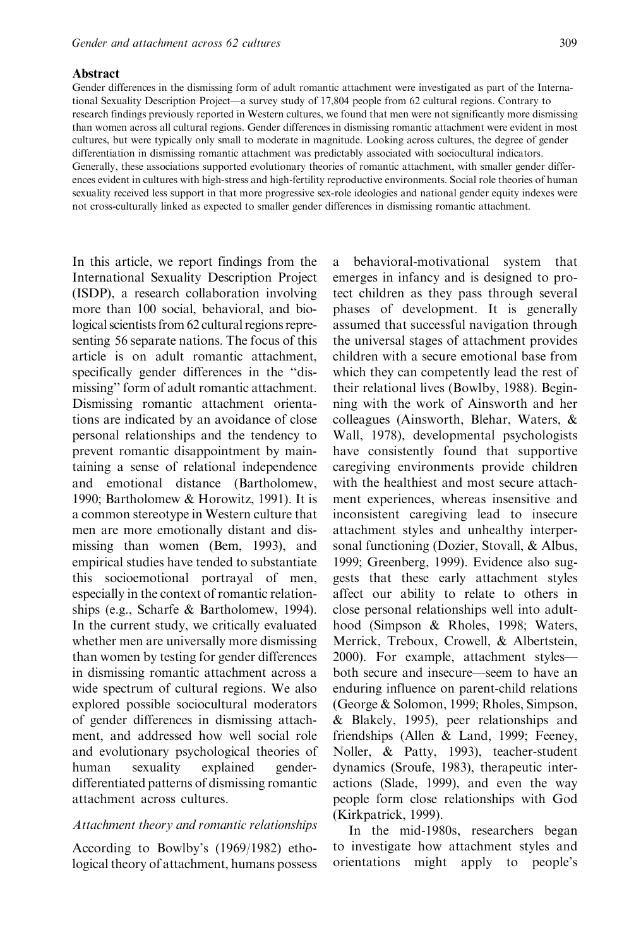#### Abstract

Gender differences in the dismissing form of adult romantic attachment were investigated as part of the International Sexuality Description Project—a survey study of 17,804 people from 62 cultural regions. Contrary to research findings previously reported in Western cultures, we found that men were not significantly more dismissing than women across all cultural regions. Gender differences in dismissing romantic attachment were evident in most cultures, but were typically only small to moderate in magnitude. Looking across cultures, the degree of gender differentiation in dismissing romantic attachment was predictably associated with sociocultural indicators. Generally, these associations supported evolutionary theories of romantic attachment, with smaller gender differences evident in cultures with high-stress and high-fertility reproductive environments. Social role theories of human sexuality received less support in that more progressive sex-role ideologies and national gender equity indexes were not cross-culturally linked as expected to smaller gender differences in dismissing romantic attachment.

In this article, we report findings from the International Sexuality Description Project (ISDP), a research collaboration involving more than 100 social, behavioral, and biological scientists from 62 cultural regions representing 56 separate nations. The focus of this article is on adult romantic attachment, specifically gender differences in the ''dismissing'' form of adult romantic attachment. Dismissing romantic attachment orientations are indicated by an avoidance of close personal relationships and the tendency to prevent romantic disappointment by maintaining a sense of relational independence and emotional distance (Bartholomew, 1990; Bartholomew & Horowitz, 1991). It is a common stereotype in Western culture that men are more emotionally distant and dismissing than women (Bem, 1993), and empirical studies have tended to substantiate this socioemotional portrayal of men, especially in the context of romantic relationships (e.g., Scharfe & Bartholomew, 1994). In the current study, we critically evaluated whether men are universally more dismissing than women by testing for gender differences in dismissing romantic attachment across a wide spectrum of cultural regions. We also explored possible sociocultural moderators of gender differences in dismissing attachment, and addressed how well social role and evolutionary psychological theories of human sexuality explained genderdifferentiated patterns of dismissing romantic attachment across cultures.

#### Attachment theory and romantic relationships

According to Bowlby's (1969/1982) ethological theory of attachment, humans possess a behavioral-motivational system that emerges in infancy and is designed to protect children as they pass through several phases of development. It is generally assumed that successful navigation through the universal stages of attachment provides children with a secure emotional base from which they can competently lead the rest of their relational lives (Bowlby, 1988). Beginning with the work of Ainsworth and her colleagues (Ainsworth, Blehar, Waters, & Wall, 1978), developmental psychologists have consistently found that supportive caregiving environments provide children with the healthiest and most secure attachment experiences, whereas insensitive and inconsistent caregiving lead to insecure attachment styles and unhealthy interpersonal functioning (Dozier, Stovall, & Albus, 1999; Greenberg, 1999). Evidence also suggests that these early attachment styles affect our ability to relate to others in close personal relationships well into adulthood (Simpson & Rholes, 1998; Waters, Merrick, Treboux, Crowell, & Albertstein, 2000). For example, attachment styles both secure and insecure—seem to have an enduring influence on parent-child relations (George & Solomon, 1999; Rholes, Simpson, & Blakely, 1995), peer relationships and friendships (Allen & Land, 1999; Feeney, Noller, & Patty, 1993), teacher-student dynamics (Sroufe, 1983), therapeutic interactions (Slade, 1999), and even the way people form close relationships with God (Kirkpatrick, 1999).

In the mid-1980s, researchers began to investigate how attachment styles and orientations might apply to people's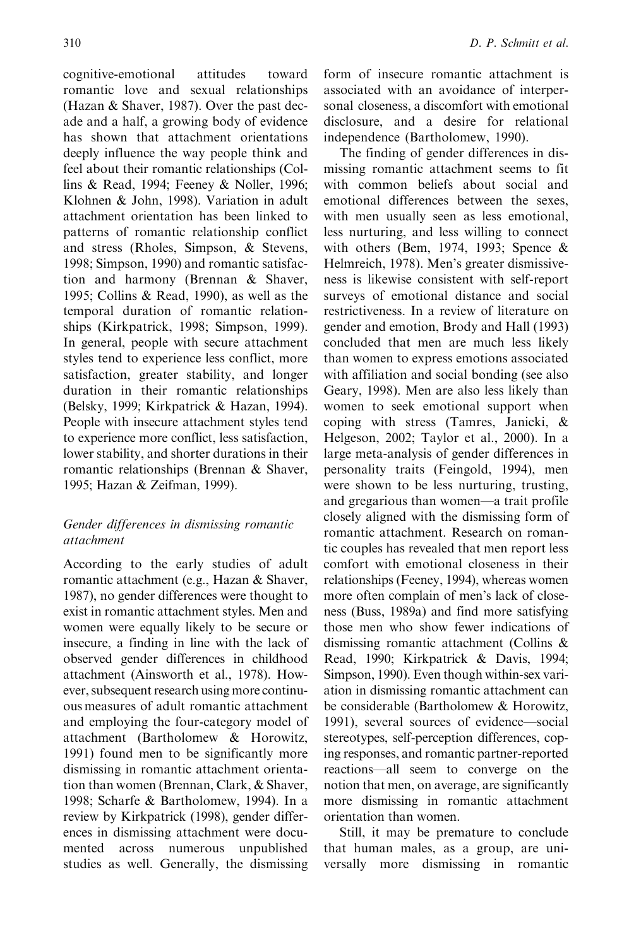310 D. P. Schmitt et al.

cognitive-emotional attitudes toward romantic love and sexual relationships (Hazan & Shaver, 1987). Over the past decade and a half, a growing body of evidence has shown that attachment orientations deeply influence the way people think and feel about their romantic relationships (Collins & Read, 1994; Feeney & Noller, 1996; Klohnen & John, 1998). Variation in adult attachment orientation has been linked to patterns of romantic relationship conflict and stress (Rholes, Simpson, & Stevens, 1998; Simpson, 1990) and romantic satisfaction and harmony (Brennan & Shaver, 1995; Collins & Read, 1990), as well as the temporal duration of romantic relationships (Kirkpatrick, 1998; Simpson, 1999). In general, people with secure attachment styles tend to experience less conflict, more satisfaction, greater stability, and longer duration in their romantic relationships (Belsky, 1999; Kirkpatrick & Hazan, 1994). People with insecure attachment styles tend to experience more conflict, less satisfaction, lower stability, and shorter durations in their romantic relationships (Brennan & Shaver, 1995; Hazan & Zeifman, 1999).

# Gender differences in dismissing romantic attachment

According to the early studies of adult romantic attachment (e.g., Hazan & Shaver, 1987), no gender differences were thought to exist in romantic attachment styles. Men and women were equally likely to be secure or insecure, a finding in line with the lack of observed gender differences in childhood attachment (Ainsworth et al., 1978). However, subsequent research using more continuous measures of adult romantic attachment and employing the four-category model of attachment (Bartholomew & Horowitz, 1991) found men to be significantly more dismissing in romantic attachment orientation than women (Brennan, Clark, & Shaver, 1998; Scharfe & Bartholomew, 1994). In a review by Kirkpatrick (1998), gender differences in dismissing attachment were documented across numerous unpublished studies as well. Generally, the dismissing

form of insecure romantic attachment is associated with an avoidance of interpersonal closeness, a discomfort with emotional disclosure, and a desire for relational independence (Bartholomew, 1990).

The finding of gender differences in dismissing romantic attachment seems to fit with common beliefs about social and emotional differences between the sexes, with men usually seen as less emotional, less nurturing, and less willing to connect with others (Bem, 1974, 1993; Spence & Helmreich, 1978). Men's greater dismissiveness is likewise consistent with self-report surveys of emotional distance and social restrictiveness. In a review of literature on gender and emotion, Brody and Hall (1993) concluded that men are much less likely than women to express emotions associated with affiliation and social bonding (see also Geary, 1998). Men are also less likely than women to seek emotional support when coping with stress (Tamres, Janicki, & Helgeson, 2002; Taylor et al., 2000). In a large meta-analysis of gender differences in personality traits (Feingold, 1994), men were shown to be less nurturing, trusting, and gregarious than women—a trait profile closely aligned with the dismissing form of romantic attachment. Research on romantic couples has revealed that men report less comfort with emotional closeness in their relationships (Feeney, 1994), whereas women more often complain of men's lack of closeness (Buss, 1989a) and find more satisfying those men who show fewer indications of dismissing romantic attachment (Collins & Read, 1990; Kirkpatrick & Davis, 1994; Simpson, 1990). Even though within-sex variation in dismissing romantic attachment can be considerable (Bartholomew & Horowitz, 1991), several sources of evidence—social stereotypes, self-perception differences, coping responses, and romantic partner-reported reactions—all seem to converge on the notion that men, on average, are significantly more dismissing in romantic attachment orientation than women.

Still, it may be premature to conclude that human males, as a group, are universally more dismissing in romantic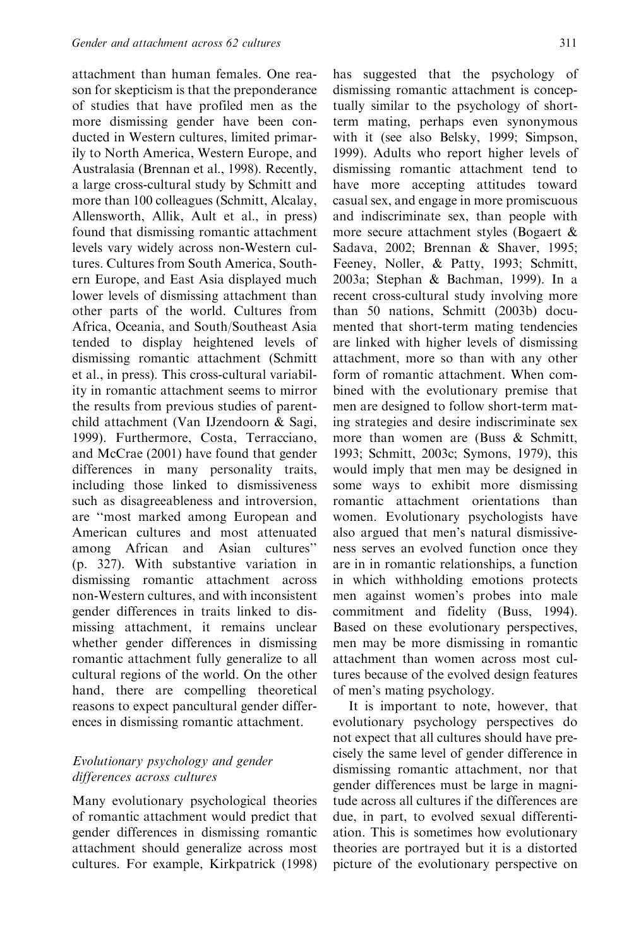attachment than human females. One reason for skepticism is that the preponderance of studies that have profiled men as the more dismissing gender have been conducted in Western cultures, limited primarily to North America, Western Europe, and Australasia (Brennan et al., 1998). Recently, a large cross-cultural study by Schmitt and more than 100 colleagues (Schmitt, Alcalay, Allensworth, Allik, Ault et al., in press) found that dismissing romantic attachment levels vary widely across non-Western cultures. Cultures from South America, Southern Europe, and East Asia displayed much lower levels of dismissing attachment than other parts of the world. Cultures from Africa, Oceania, and South/Southeast Asia tended to display heightened levels of dismissing romantic attachment (Schmitt et al., in press). This cross-cultural variability in romantic attachment seems to mirror the results from previous studies of parentchild attachment (Van IJzendoorn & Sagi, 1999). Furthermore, Costa, Terracciano, and McCrae (2001) have found that gender differences in many personality traits, including those linked to dismissiveness such as disagreeableness and introversion, are ''most marked among European and American cultures and most attenuated among African and Asian cultures'' (p. 327). With substantive variation in dismissing romantic attachment across non-Western cultures, and with inconsistent gender differences in traits linked to dismissing attachment, it remains unclear whether gender differences in dismissing romantic attachment fully generalize to all cultural regions of the world. On the other hand, there are compelling theoretical reasons to expect pancultural gender differences in dismissing romantic attachment.

## Evolutionary psychology and gender differences across cultures

Many evolutionary psychological theories of romantic attachment would predict that gender differences in dismissing romantic attachment should generalize across most cultures. For example, Kirkpatrick (1998) has suggested that the psychology of dismissing romantic attachment is conceptually similar to the psychology of shortterm mating, perhaps even synonymous with it (see also Belsky, 1999; Simpson, 1999). Adults who report higher levels of dismissing romantic attachment tend to have more accepting attitudes toward casual sex, and engage in more promiscuous and indiscriminate sex, than people with more secure attachment styles (Bogaert & Sadava, 2002; Brennan & Shaver, 1995; Feeney, Noller, & Patty, 1993; Schmitt, 2003a; Stephan & Bachman, 1999). In a recent cross-cultural study involving more than 50 nations, Schmitt (2003b) documented that short-term mating tendencies are linked with higher levels of dismissing attachment, more so than with any other form of romantic attachment. When combined with the evolutionary premise that men are designed to follow short-term mating strategies and desire indiscriminate sex more than women are (Buss & Schmitt, 1993; Schmitt, 2003c; Symons, 1979), this would imply that men may be designed in some ways to exhibit more dismissing romantic attachment orientations than women. Evolutionary psychologists have also argued that men's natural dismissiveness serves an evolved function once they are in in romantic relationships, a function in which withholding emotions protects men against women's probes into male commitment and fidelity (Buss, 1994). Based on these evolutionary perspectives, men may be more dismissing in romantic attachment than women across most cultures because of the evolved design features of men's mating psychology.

It is important to note, however, that evolutionary psychology perspectives do not expect that all cultures should have precisely the same level of gender difference in dismissing romantic attachment, nor that gender differences must be large in magnitude across all cultures if the differences are due, in part, to evolved sexual differentiation. This is sometimes how evolutionary theories are portrayed but it is a distorted picture of the evolutionary perspective on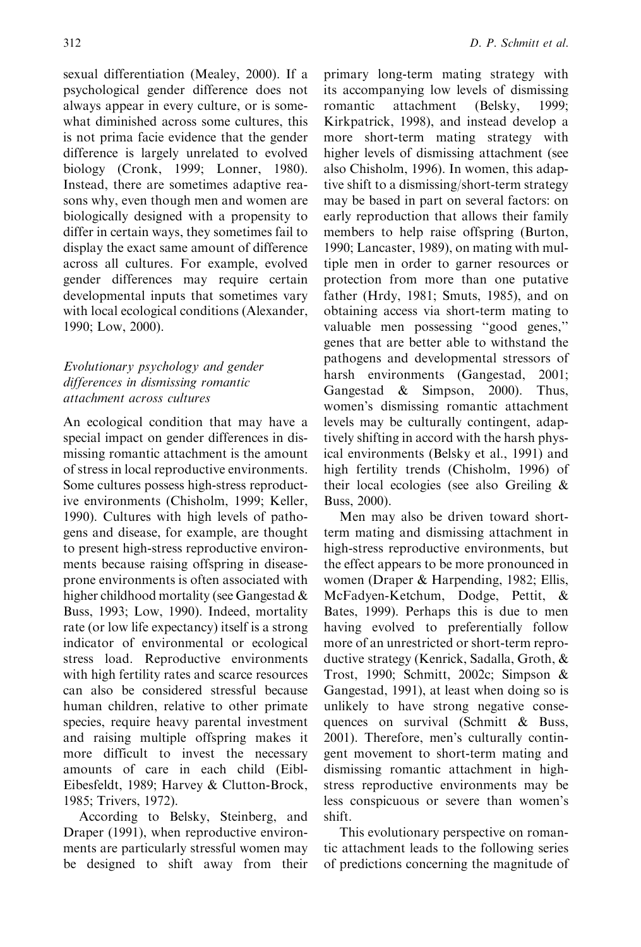sexual differentiation (Mealey, 2000). If a psychological gender difference does not always appear in every culture, or is somewhat diminished across some cultures, this is not prima facie evidence that the gender difference is largely unrelated to evolved biology (Cronk, 1999; Lonner, 1980). Instead, there are sometimes adaptive reasons why, even though men and women are biologically designed with a propensity to differ in certain ways, they sometimes fail to display the exact same amount of difference across all cultures. For example, evolved gender differences may require certain developmental inputs that sometimes vary with local ecological conditions (Alexander, 1990; Low, 2000).

# Evolutionary psychology and gender differences in dismissing romantic attachment across cultures

An ecological condition that may have a special impact on gender differences in dismissing romantic attachment is the amount of stress in local reproductive environments. Some cultures possess high-stress reproductive environments (Chisholm, 1999; Keller, 1990). Cultures with high levels of pathogens and disease, for example, are thought to present high-stress reproductive environments because raising offspring in diseaseprone environments is often associated with higher childhood mortality (see Gangestad & Buss, 1993; Low, 1990). Indeed, mortality rate (or low life expectancy) itself is a strong indicator of environmental or ecological stress load. Reproductive environments with high fertility rates and scarce resources can also be considered stressful because human children, relative to other primate species, require heavy parental investment and raising multiple offspring makes it more difficult to invest the necessary amounts of care in each child (Eibl-Eibesfeldt, 1989; Harvey & Clutton-Brock, 1985; Trivers, 1972).

According to Belsky, Steinberg, and Draper (1991), when reproductive environments are particularly stressful women may be designed to shift away from their

primary long-term mating strategy with its accompanying low levels of dismissing romantic attachment (Belsky, 1999; Kirkpatrick, 1998), and instead develop a more short-term mating strategy with higher levels of dismissing attachment (see also Chisholm, 1996). In women, this adaptive shift to a dismissing/short-term strategy may be based in part on several factors: on early reproduction that allows their family members to help raise offspring (Burton, 1990; Lancaster, 1989), on mating with multiple men in order to garner resources or protection from more than one putative father (Hrdy, 1981; Smuts, 1985), and on obtaining access via short-term mating to valuable men possessing ''good genes,'' genes that are better able to withstand the pathogens and developmental stressors of harsh environments (Gangestad, 2001; Gangestad & Simpson, 2000). Thus, women's dismissing romantic attachment levels may be culturally contingent, adaptively shifting in accord with the harsh physical environments (Belsky et al., 1991) and high fertility trends (Chisholm, 1996) of their local ecologies (see also Greiling & Buss, 2000).

Men may also be driven toward shortterm mating and dismissing attachment in high-stress reproductive environments, but the effect appears to be more pronounced in women (Draper & Harpending, 1982; Ellis, McFadyen-Ketchum, Dodge, Pettit, & Bates, 1999). Perhaps this is due to men having evolved to preferentially follow more of an unrestricted or short-term reproductive strategy (Kenrick, Sadalla, Groth, & Trost, 1990; Schmitt, 2002c; Simpson & Gangestad, 1991), at least when doing so is unlikely to have strong negative consequences on survival (Schmitt & Buss, 2001). Therefore, men's culturally contingent movement to short-term mating and dismissing romantic attachment in highstress reproductive environments may be less conspicuous or severe than women's shift.

This evolutionary perspective on romantic attachment leads to the following series of predictions concerning the magnitude of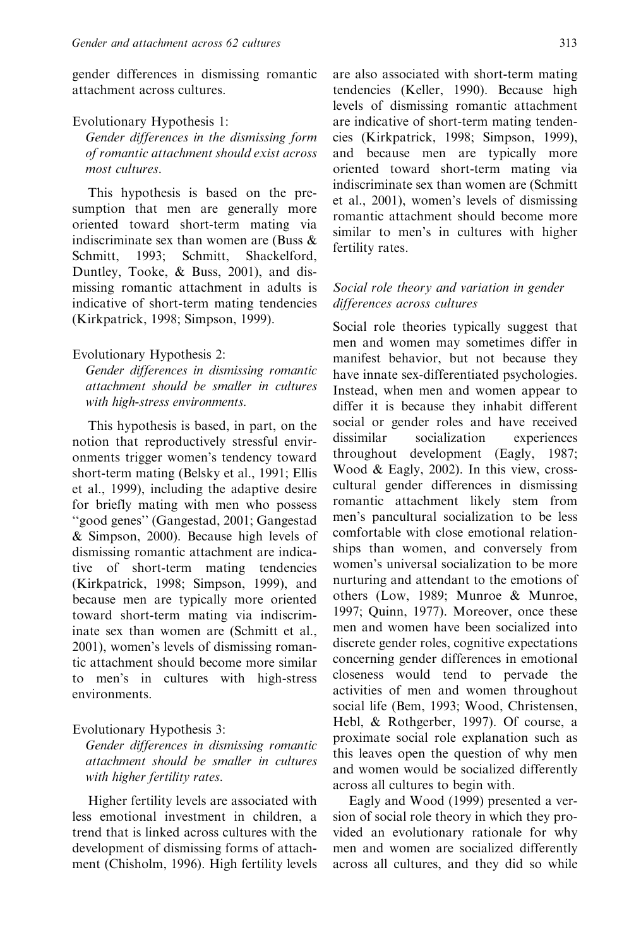gender differences in dismissing romantic attachment across cultures.

#### Evolutionary Hypothesis 1:

Gender differences in the dismissing form of romantic attachment should exist across most cultures.

This hypothesis is based on the presumption that men are generally more oriented toward short-term mating via indiscriminate sex than women are (Buss & Schmitt, 1993; Schmitt, Shackelford, Duntley, Tooke, & Buss, 2001), and dismissing romantic attachment in adults is indicative of short-term mating tendencies (Kirkpatrick, 1998; Simpson, 1999).

#### Evolutionary Hypothesis 2:

Gender differences in dismissing romantic attachment should be smaller in cultures with high-stress environments.

This hypothesis is based, in part, on the notion that reproductively stressful environments trigger women's tendency toward short-term mating (Belsky et al., 1991; Ellis et al., 1999), including the adaptive desire for briefly mating with men who possess ''good genes'' (Gangestad, 2001; Gangestad & Simpson, 2000). Because high levels of dismissing romantic attachment are indicative of short-term mating tendencies (Kirkpatrick, 1998; Simpson, 1999), and because men are typically more oriented toward short-term mating via indiscriminate sex than women are (Schmitt et al., 2001), women's levels of dismissing romantic attachment should become more similar to men's in cultures with high-stress environments.

#### Evolutionary Hypothesis 3:

Gender differences in dismissing romantic attachment should be smaller in cultures with higher fertility rates.

Higher fertility levels are associated with less emotional investment in children, a trend that is linked across cultures with the development of dismissing forms of attachment (Chisholm, 1996). High fertility levels are also associated with short-term mating tendencies (Keller, 1990). Because high levels of dismissing romantic attachment are indicative of short-term mating tendencies (Kirkpatrick, 1998; Simpson, 1999), and because men are typically more oriented toward short-term mating via indiscriminate sex than women are (Schmitt et al., 2001), women's levels of dismissing romantic attachment should become more similar to men's in cultures with higher fertility rates.

## Social role theory and variation in gender differences across cultures

Social role theories typically suggest that men and women may sometimes differ in manifest behavior, but not because they have innate sex-differentiated psychologies. Instead, when men and women appear to differ it is because they inhabit different social or gender roles and have received dissimilar socialization experiences throughout development (Eagly, 1987; Wood & Eagly, 2002). In this view, crosscultural gender differences in dismissing romantic attachment likely stem from men's pancultural socialization to be less comfortable with close emotional relationships than women, and conversely from women's universal socialization to be more nurturing and attendant to the emotions of others (Low, 1989; Munroe & Munroe, 1997; Quinn, 1977). Moreover, once these men and women have been socialized into discrete gender roles, cognitive expectations concerning gender differences in emotional closeness would tend to pervade the activities of men and women throughout social life (Bem, 1993; Wood, Christensen, Hebl, & Rothgerber, 1997). Of course, a proximate social role explanation such as this leaves open the question of why men and women would be socialized differently across all cultures to begin with.

Eagly and Wood (1999) presented a version of social role theory in which they provided an evolutionary rationale for why men and women are socialized differently across all cultures, and they did so while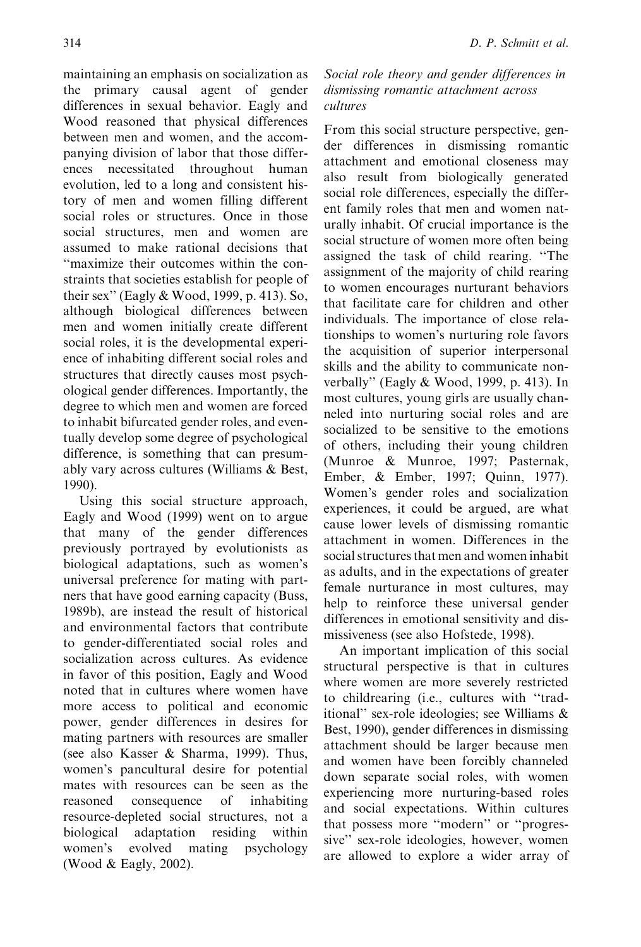maintaining an emphasis on socialization as the primary causal agent of gender differences in sexual behavior. Eagly and Wood reasoned that physical differences between men and women, and the accompanying division of labor that those differences necessitated throughout human evolution, led to a long and consistent history of men and women filling different social roles or structures. Once in those social structures, men and women are assumed to make rational decisions that ''maximize their outcomes within the constraints that societies establish for people of their sex'' (Eagly & Wood, 1999, p. 413). So, although biological differences between men and women initially create different social roles, it is the developmental experience of inhabiting different social roles and structures that directly causes most psychological gender differences. Importantly, the degree to which men and women are forced to inhabit bifurcated gender roles, and eventually develop some degree of psychological difference, is something that can presumably vary across cultures (Williams & Best, 1990).

Using this social structure approach, Eagly and Wood (1999) went on to argue that many of the gender differences previously portrayed by evolutionists as biological adaptations, such as women's universal preference for mating with partners that have good earning capacity (Buss, 1989b), are instead the result of historical and environmental factors that contribute to gender-differentiated social roles and socialization across cultures. As evidence in favor of this position, Eagly and Wood noted that in cultures where women have more access to political and economic power, gender differences in desires for mating partners with resources are smaller (see also Kasser & Sharma, 1999). Thus, women's pancultural desire for potential mates with resources can be seen as the reasoned consequence of inhabiting resource-depleted social structures, not a biological adaptation residing within women's evolved mating psychology (Wood & Eagly, 2002).

# Social role theory and gender differences in dismissing romantic attachment across cultures

From this social structure perspective, gender differences in dismissing romantic attachment and emotional closeness may also result from biologically generated social role differences, especially the different family roles that men and women naturally inhabit. Of crucial importance is the social structure of women more often being assigned the task of child rearing. ''The assignment of the majority of child rearing to women encourages nurturant behaviors that facilitate care for children and other individuals. The importance of close relationships to women's nurturing role favors the acquisition of superior interpersonal skills and the ability to communicate nonverbally'' (Eagly & Wood, 1999, p. 413). In most cultures, young girls are usually channeled into nurturing social roles and are socialized to be sensitive to the emotions of others, including their young children (Munroe & Munroe, 1997; Pasternak, Ember, & Ember, 1997; Quinn, 1977). Women's gender roles and socialization experiences, it could be argued, are what cause lower levels of dismissing romantic attachment in women. Differences in the social structures that men and women inhabit as adults, and in the expectations of greater female nurturance in most cultures, may help to reinforce these universal gender differences in emotional sensitivity and dismissiveness (see also Hofstede, 1998).

An important implication of this social structural perspective is that in cultures where women are more severely restricted to childrearing (i.e., cultures with ''traditional'' sex-role ideologies; see Williams & Best, 1990), gender differences in dismissing attachment should be larger because men and women have been forcibly channeled down separate social roles, with women experiencing more nurturing-based roles and social expectations. Within cultures that possess more ''modern'' or ''progressive'' sex-role ideologies, however, women are allowed to explore a wider array of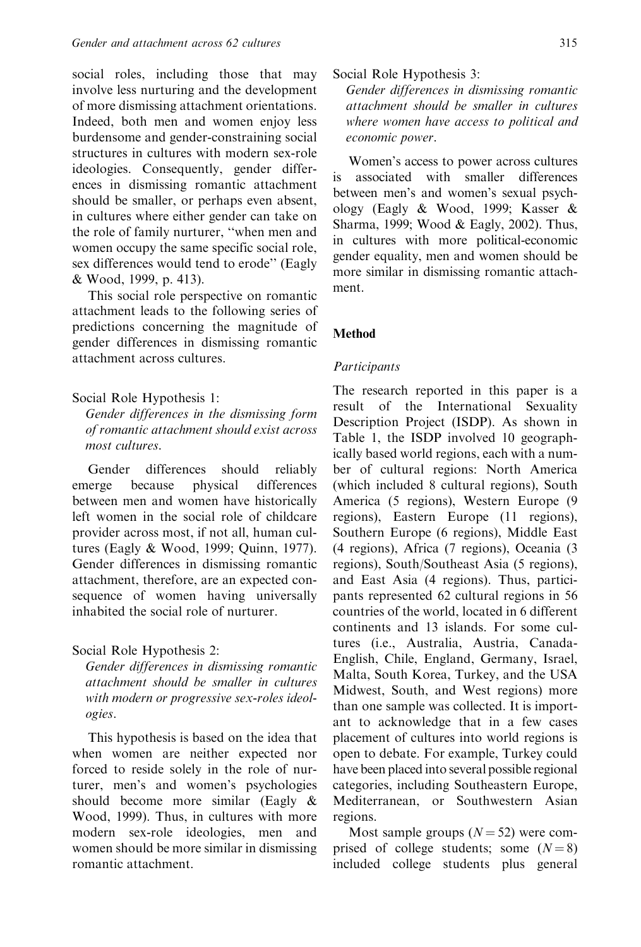social roles, including those that may involve less nurturing and the development of more dismissing attachment orientations. Indeed, both men and women enjoy less burdensome and gender-constraining social structures in cultures with modern sex-role ideologies. Consequently, gender differences in dismissing romantic attachment should be smaller, or perhaps even absent, in cultures where either gender can take on the role of family nurturer, ''when men and women occupy the same specific social role, sex differences would tend to erode'' (Eagly & Wood, 1999, p. 413).

This social role perspective on romantic attachment leads to the following series of predictions concerning the magnitude of gender differences in dismissing romantic attachment across cultures.

#### Social Role Hypothesis 1:

Gender differences in the dismissing form of romantic attachment should exist across most cultures.

Gender differences should reliably emerge because physical differences between men and women have historically left women in the social role of childcare provider across most, if not all, human cultures (Eagly & Wood, 1999; Quinn, 1977). Gender differences in dismissing romantic attachment, therefore, are an expected consequence of women having universally inhabited the social role of nurturer.

## Social Role Hypothesis 2:

Gender differences in dismissing romantic attachment should be smaller in cultures with modern or progressive sex-roles ideologies.

This hypothesis is based on the idea that when women are neither expected nor forced to reside solely in the role of nurturer, men's and women's psychologies should become more similar (Eagly & Wood, 1999). Thus, in cultures with more modern sex-role ideologies, men and women should be more similar in dismissing romantic attachment.

Social Role Hypothesis 3:

Gender differences in dismissing romantic attachment should be smaller in cultures where women have access to political and economic power.

Women's access to power across cultures is associated with smaller differences between men's and women's sexual psychology (Eagly & Wood, 1999; Kasser & Sharma, 1999; Wood & Eagly, 2002). Thus, in cultures with more political-economic gender equality, men and women should be more similar in dismissing romantic attachment.

## Method

## Participants

The research reported in this paper is a result of the International Sexuality Description Project (ISDP). As shown in Table 1, the ISDP involved 10 geographically based world regions, each with a number of cultural regions: North America (which included 8 cultural regions), South America (5 regions), Western Europe (9 regions), Eastern Europe (11 regions), Southern Europe (6 regions), Middle East (4 regions), Africa (7 regions), Oceania (3 regions), South/Southeast Asia (5 regions), and East Asia (4 regions). Thus, participants represented 62 cultural regions in 56 countries of the world, located in 6 different continents and 13 islands. For some cultures (i.e., Australia, Austria, Canada-English, Chile, England, Germany, Israel, Malta, South Korea, Turkey, and the USA Midwest, South, and West regions) more than one sample was collected. It is important to acknowledge that in a few cases placement of cultures into world regions is open to debate. For example, Turkey could have been placed into several possible regional categories, including Southeastern Europe, Mediterranean, or Southwestern Asian regions.

Most sample groups  $(N = 52)$  were comprised of college students; some  $(N = 8)$ included college students plus general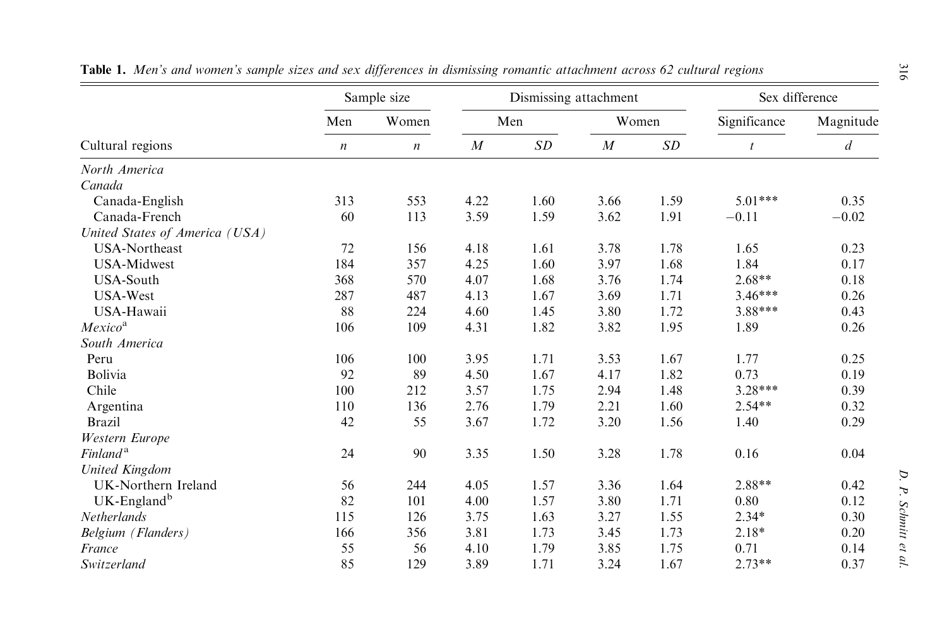|                                | Sample size      |                  | Dismissing attachment |           |                  |           | Sex difference   |                  |
|--------------------------------|------------------|------------------|-----------------------|-----------|------------------|-----------|------------------|------------------|
|                                | Men              | Women            |                       | Men       | Women            |           | Significance     | Magnitude        |
| Cultural regions               | $\boldsymbol{n}$ | $\boldsymbol{n}$ | $\boldsymbol{M}$      | $\cal SD$ | $\boldsymbol{M}$ | $\cal SD$ | $\boldsymbol{t}$ | $\boldsymbol{d}$ |
| North America                  |                  |                  |                       |           |                  |           |                  |                  |
| Canada                         |                  |                  |                       |           |                  |           |                  |                  |
| Canada-English                 | 313              | 553              | 4.22                  | 1.60      | 3.66             | 1.59      | 5.01***          | 0.35             |
| Canada-French                  | 60               | 113              | 3.59                  | 1.59      | 3.62             | 1.91      | $-0.11$          | $-0.02$          |
| United States of America (USA) |                  |                  |                       |           |                  |           |                  |                  |
| <b>USA-Northeast</b>           | 72               | 156              | 4.18                  | 1.61      | 3.78             | 1.78      | 1.65             | 0.23             |
| <b>USA-Midwest</b>             | 184              | 357              | 4.25                  | 1.60      | 3.97             | 1.68      | 1.84             | 0.17             |
| USA-South                      | 368              | 570              | 4.07                  | 1.68      | 3.76             | 1.74      | $2.68**$         | 0.18             |
| USA-West                       | 287              | 487              | 4.13                  | 1.67      | 3.69             | 1.71      | $3.46***$        | 0.26             |
| USA-Hawaii                     | 88               | 224              | 4.60                  | 1.45      | 3.80             | 1.72      | 3.88***          | 0.43             |
| Mexico <sup>a</sup>            | 106              | 109              | 4.31                  | 1.82      | 3.82             | 1.95      | 1.89             | 0.26             |
| South America                  |                  |                  |                       |           |                  |           |                  |                  |
| Peru                           | 106              | 100              | 3.95                  | 1.71      | 3.53             | 1.67      | 1.77             | 0.25             |
| Bolivia                        | 92               | 89               | 4.50                  | 1.67      | 4.17             | 1.82      | 0.73             | 0.19             |
| Chile                          | 100              | 212              | 3.57                  | 1.75      | 2.94             | 1.48      | 3.28***          | 0.39             |
| Argentina                      | 110              | 136              | 2.76                  | 1.79      | 2.21             | 1.60      | $2.54**$         | 0.32             |
| <b>Brazil</b>                  | 42               | 55               | 3.67                  | 1.72      | 3.20             | 1.56      | 1.40             | 0.29             |
| Western Europe                 |                  |                  |                       |           |                  |           |                  |                  |
| Finland <sup>a</sup>           | 24               | 90               | 3.35                  | 1.50      | 3.28             | 1.78      | 0.16             | 0.04             |
| <b>United Kingdom</b>          |                  |                  |                       |           |                  |           |                  |                  |
| UK-Northern Ireland            | 56               | 244              | 4.05                  | 1.57      | 3.36             | 1.64      | 2.88**           | 0.42             |
| UK-England <sup>b</sup>        | 82               | 101              | 4.00                  | 1.57      | 3.80             | 1.71      | 0.80             | 0.12             |
| <b>Netherlands</b>             | 115              | 126              | 3.75                  | 1.63      | 3.27             | 1.55      | $2.34*$          | 0.30             |
| Belgium (Flanders)             | 166              | 356              | 3.81                  | 1.73      | 3.45             | 1.73      | $2.18*$          | 0.20             |
| France                         | 55               | 56               | 4.10                  | 1.79      | 3.85             | 1.75      | 0.71             | 0.14             |
| Switzerland                    | 85               | 129              | 3.89                  | 1.71      | 3.24             | 1.67      | $2.73**$         | 0.37             |

Table 1. Men's and women's sample sizes and sex differences in dismissing romantic attachment across 62 cultural regions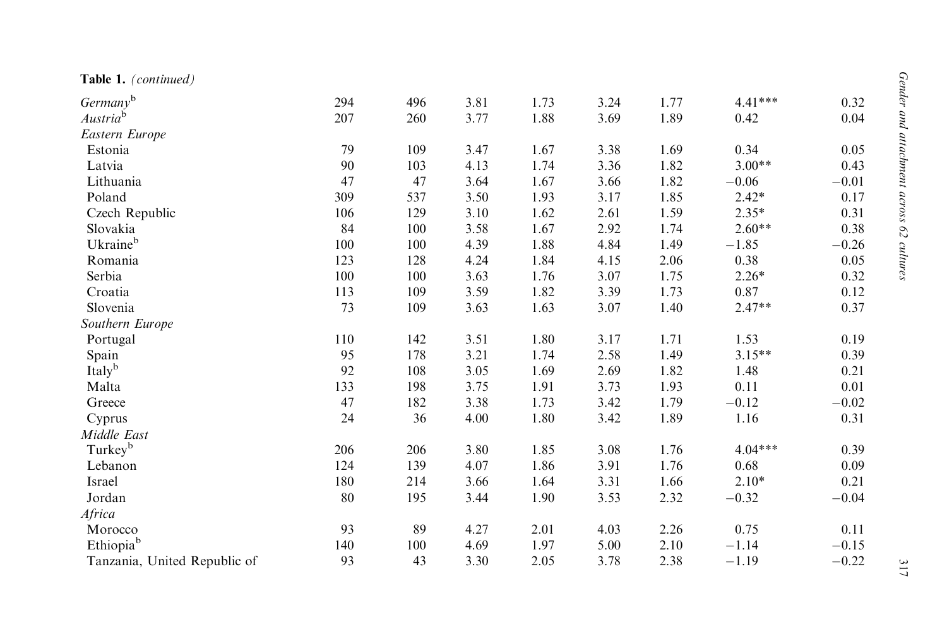#### Table 1. (continued)

| Germany <sup>b</sup>         | 294 | 496 | 3.81 | 1.73 | 3.24 | 1.77 | 4.41***  | 0.32    |
|------------------------------|-----|-----|------|------|------|------|----------|---------|
| Austria <sup>b</sup>         | 207 | 260 | 3.77 | 1.88 | 3.69 | 1.89 | 0.42     | 0.04    |
| Eastern Europe               |     |     |      |      |      |      |          |         |
| Estonia                      | 79  | 109 | 3.47 | 1.67 | 3.38 | 1.69 | 0.34     | 0.05    |
| Latvia                       | 90  | 103 | 4.13 | 1.74 | 3.36 | 1.82 | $3.00**$ | 0.43    |
| Lithuania                    | 47  | 47  | 3.64 | 1.67 | 3.66 | 1.82 | $-0.06$  | $-0.01$ |
| Poland                       | 309 | 537 | 3.50 | 1.93 | 3.17 | 1.85 | $2.42*$  | 0.17    |
| Czech Republic               | 106 | 129 | 3.10 | 1.62 | 2.61 | 1.59 | $2.35*$  | 0.31    |
| Slovakia                     | 84  | 100 | 3.58 | 1.67 | 2.92 | 1.74 | $2.60**$ | 0.38    |
| Ukraine <sup>b</sup>         | 100 | 100 | 4.39 | 1.88 | 4.84 | 1.49 | $-1.85$  | $-0.26$ |
| Romania                      | 123 | 128 | 4.24 | 1.84 | 4.15 | 2.06 | 0.38     | 0.05    |
| Serbia                       | 100 | 100 | 3.63 | 1.76 | 3.07 | 1.75 | $2.26*$  | 0.32    |
| Croatia                      | 113 | 109 | 3.59 | 1.82 | 3.39 | 1.73 | 0.87     | 0.12    |
| Slovenia                     | 73  | 109 | 3.63 | 1.63 | 3.07 | 1.40 | $2.47**$ | 0.37    |
| Southern Europe              |     |     |      |      |      |      |          |         |
| Portugal                     | 110 | 142 | 3.51 | 1.80 | 3.17 | 1.71 | 1.53     | 0.19    |
| Spain                        | 95  | 178 | 3.21 | 1.74 | 2.58 | 1.49 | $3.15**$ | 0.39    |
| Italy <sup>b</sup>           | 92  | 108 | 3.05 | 1.69 | 2.69 | 1.82 | 1.48     | 0.21    |
| Malta                        | 133 | 198 | 3.75 | 1.91 | 3.73 | 1.93 | 0.11     | 0.01    |
| Greece                       | 47  | 182 | 3.38 | 1.73 | 3.42 | 1.79 | $-0.12$  | $-0.02$ |
| Cyprus                       | 24  | 36  | 4.00 | 1.80 | 3.42 | 1.89 | 1.16     | 0.31    |
| Middle East                  |     |     |      |      |      |      |          |         |
| Turkey <sup>b</sup>          | 206 | 206 | 3.80 | 1.85 | 3.08 | 1.76 | 4.04***  | 0.39    |
| Lebanon                      | 124 | 139 | 4.07 | 1.86 | 3.91 | 1.76 | 0.68     | 0.09    |
| Israel                       | 180 | 214 | 3.66 | 1.64 | 3.31 | 1.66 | $2.10*$  | 0.21    |
| Jordan                       | 80  | 195 | 3.44 | 1.90 | 3.53 | 2.32 | $-0.32$  | $-0.04$ |
| Africa                       |     |     |      |      |      |      |          |         |
| Morocco                      | 93  | 89  | 4.27 | 2.01 | 4.03 | 2.26 | 0.75     | 0.11    |
| Ethiopia <sup>b</sup>        | 140 | 100 | 4.69 | 1.97 | 5.00 | 2.10 | $-1.14$  | $-0.15$ |
| Tanzania, United Republic of | 93  | 43  | 3.30 | 2.05 | 3.78 | 2.38 | $-1.19$  | $-0.22$ |

317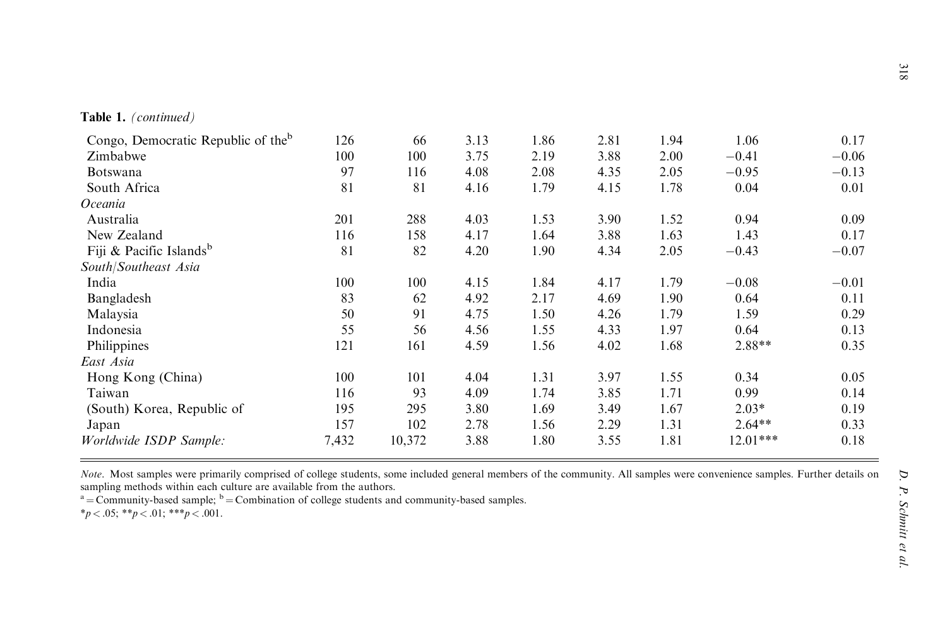| Congo, Democratic Republic of the <sup>b</sup> | 126   | 66     | 3.13 | 1.86 | 2.81 | 1.94 | 1.06       | 0.17    |
|------------------------------------------------|-------|--------|------|------|------|------|------------|---------|
| Zimbabwe                                       | 100   | 100    | 3.75 | 2.19 | 3.88 | 2.00 | $-0.41$    | $-0.06$ |
| <b>Botswana</b>                                | 97    | 116    | 4.08 | 2.08 | 4.35 | 2.05 | $-0.95$    | $-0.13$ |
| South Africa                                   | 81    | 81     | 4.16 | 1.79 | 4.15 | 1.78 | 0.04       | 0.01    |
| <i>Oceania</i>                                 |       |        |      |      |      |      |            |         |
| Australia                                      | 201   | 288    | 4.03 | 1.53 | 3.90 | 1.52 | 0.94       | 0.09    |
| New Zealand                                    | 116   | 158    | 4.17 | 1.64 | 3.88 | 1.63 | 1.43       | 0.17    |
| Fiji & Pacific Islands <sup>b</sup>            | 81    | 82     | 4.20 | 1.90 | 4.34 | 2.05 | $-0.43$    | $-0.07$ |
| South/Southeast Asia                           |       |        |      |      |      |      |            |         |
| India                                          | 100   | 100    | 4.15 | 1.84 | 4.17 | 1.79 | $-0.08$    | $-0.01$ |
| Bangladesh                                     | 83    | 62     | 4.92 | 2.17 | 4.69 | 1.90 | 0.64       | 0.11    |
| Malaysia                                       | 50    | 91     | 4.75 | 1.50 | 4.26 | 1.79 | 1.59       | 0.29    |
| Indonesia                                      | 55    | 56     | 4.56 | 1.55 | 4.33 | 1.97 | 0.64       | 0.13    |
| Philippines                                    | 121   | 161    | 4.59 | 1.56 | 4.02 | 1.68 | $2.88**$   | 0.35    |
| East Asia                                      |       |        |      |      |      |      |            |         |
| Hong Kong (China)                              | 100   | 101    | 4.04 | 1.31 | 3.97 | 1.55 | 0.34       | 0.05    |
| Taiwan                                         | 116   | 93     | 4.09 | 1.74 | 3.85 | 1.71 | 0.99       | 0.14    |
| (South) Korea, Republic of                     | 195   | 295    | 3.80 | 1.69 | 3.49 | 1.67 | $2.03*$    | 0.19    |
| Japan                                          | 157   | 102    | 2.78 | 1.56 | 2.29 | 1.31 | $2.64**$   | 0.33    |
| Worldwide ISDP Sample:                         | 7,432 | 10,372 | 3.88 | 1.80 | 3.55 | 1.81 | $12.01***$ | 0.18    |

Note. Most samples were primarily comprised of college students, some included general members of the community. All samples were convenience samples. Further details on sampling methods within each culture are available from the authors.

 $A^a$  = Community-based sample;  $b$  = Combination of college students and community-based samples.

\*p < .05; \*\*p < .01; \*\*\*p < .001.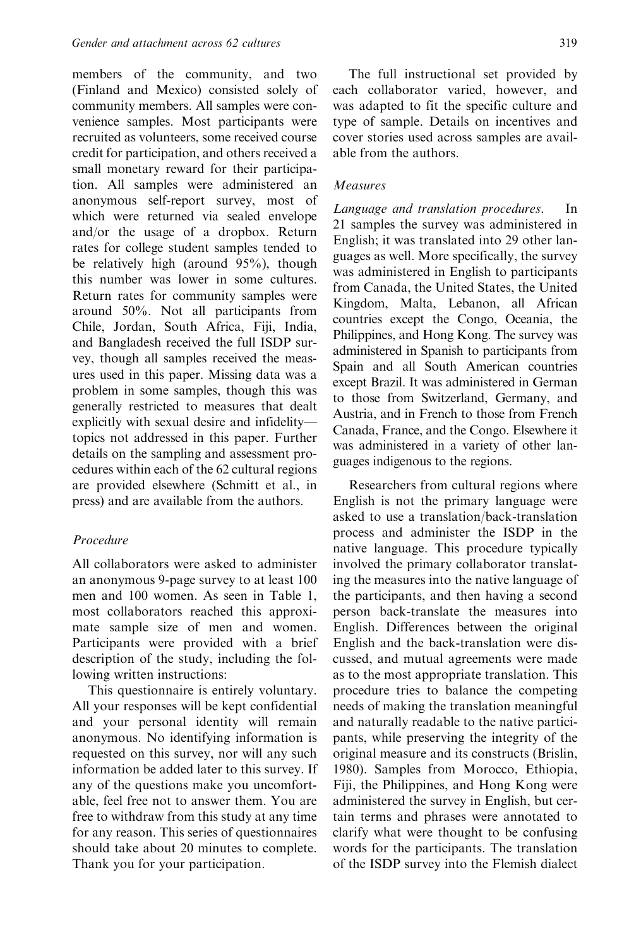members of the community, and two (Finland and Mexico) consisted solely of community members. All samples were convenience samples. Most participants were recruited as volunteers, some received course credit for participation, and others received a small monetary reward for their participation. All samples were administered an anonymous self-report survey, most of which were returned via sealed envelope and/or the usage of a dropbox. Return rates for college student samples tended to be relatively high (around 95%), though this number was lower in some cultures. Return rates for community samples were around 50%. Not all participants from Chile, Jordan, South Africa, Fiji, India, and Bangladesh received the full ISDP survey, though all samples received the measures used in this paper. Missing data was a problem in some samples, though this was generally restricted to measures that dealt explicitly with sexual desire and infidelity topics not addressed in this paper. Further details on the sampling and assessment procedures within each of the 62 cultural regions are provided elsewhere (Schmitt et al., in press) and are available from the authors.

#### Procedure

All collaborators were asked to administer an anonymous 9-page survey to at least 100 men and 100 women. As seen in Table 1, most collaborators reached this approximate sample size of men and women. Participants were provided with a brief description of the study, including the following written instructions:

This questionnaire is entirely voluntary. All your responses will be kept confidential and your personal identity will remain anonymous. No identifying information is requested on this survey, nor will any such information be added later to this survey. If any of the questions make you uncomfortable, feel free not to answer them. You are free to withdraw from this study at any time for any reason. This series of questionnaires should take about 20 minutes to complete. Thank you for your participation.

The full instructional set provided by each collaborator varied, however, and was adapted to fit the specific culture and type of sample. Details on incentives and cover stories used across samples are available from the authors.

#### Measures

Language and translation procedures. In 21 samples the survey was administered in English; it was translated into 29 other languages as well. More specifically, the survey was administered in English to participants from Canada, the United States, the United Kingdom, Malta, Lebanon, all African countries except the Congo, Oceania, the Philippines, and Hong Kong. The survey was administered in Spanish to participants from Spain and all South American countries except Brazil. It was administered in German to those from Switzerland, Germany, and Austria, and in French to those from French Canada, France, and the Congo. Elsewhere it was administered in a variety of other languages indigenous to the regions.

Researchers from cultural regions where English is not the primary language were asked to use a translation/back-translation process and administer the ISDP in the native language. This procedure typically involved the primary collaborator translating the measures into the native language of the participants, and then having a second person back-translate the measures into English. Differences between the original English and the back-translation were discussed, and mutual agreements were made as to the most appropriate translation. This procedure tries to balance the competing needs of making the translation meaningful and naturally readable to the native participants, while preserving the integrity of the original measure and its constructs (Brislin, 1980). Samples from Morocco, Ethiopia, Fiji, the Philippines, and Hong Kong were administered the survey in English, but certain terms and phrases were annotated to clarify what were thought to be confusing words for the participants. The translation of the ISDP survey into the Flemish dialect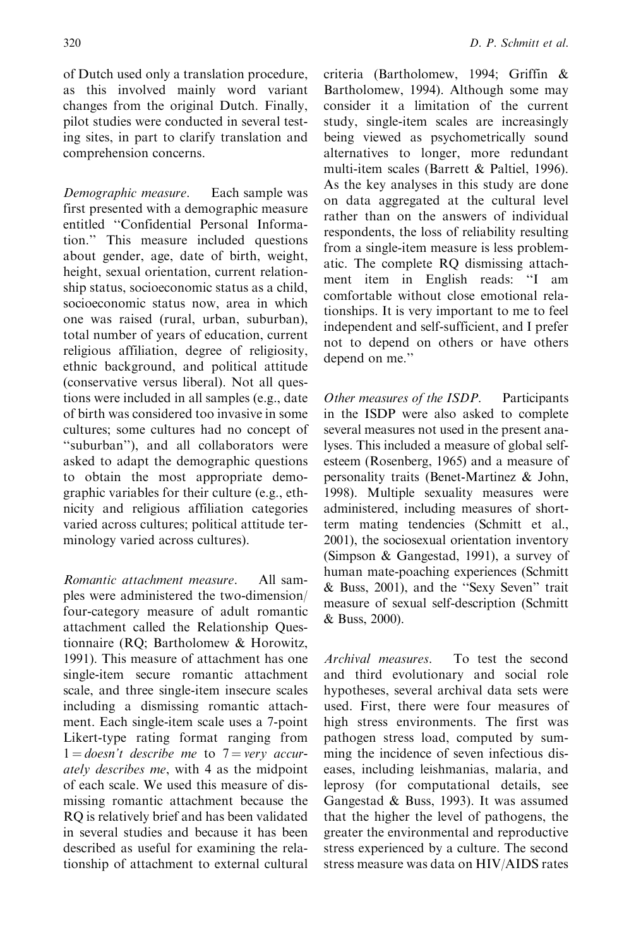of Dutch used only a translation procedure, as this involved mainly word variant changes from the original Dutch. Finally, pilot studies were conducted in several testing sites, in part to clarify translation and comprehension concerns.

Demographic measure. Each sample was first presented with a demographic measure entitled ''Confidential Personal Information.'' This measure included questions about gender, age, date of birth, weight, height, sexual orientation, current relationship status, socioeconomic status as a child, socioeconomic status now, area in which one was raised (rural, urban, suburban), total number of years of education, current religious affiliation, degree of religiosity, ethnic background, and political attitude (conservative versus liberal). Not all questions were included in all samples (e.g., date of birth was considered too invasive in some cultures; some cultures had no concept of ''suburban''), and all collaborators were asked to adapt the demographic questions to obtain the most appropriate demographic variables for their culture (e.g., ethnicity and religious affiliation categories varied across cultures; political attitude terminology varied across cultures).

Romantic attachment measure. All samples were administered the two-dimension/ four-category measure of adult romantic attachment called the Relationship Questionnaire (RQ; Bartholomew & Horowitz, 1991). This measure of attachment has one single-item secure romantic attachment scale, and three single-item insecure scales including a dismissing romantic attachment. Each single-item scale uses a 7-point Likert-type rating format ranging from  $1 = doesn't$  describe me to  $7 = very$  accurately describes me, with 4 as the midpoint of each scale. We used this measure of dismissing romantic attachment because the RQ is relatively brief and has been validated in several studies and because it has been described as useful for examining the relationship of attachment to external cultural

criteria (Bartholomew, 1994; Griffin & Bartholomew, 1994). Although some may consider it a limitation of the current study, single-item scales are increasingly being viewed as psychometrically sound alternatives to longer, more redundant multi-item scales (Barrett & Paltiel, 1996). As the key analyses in this study are done on data aggregated at the cultural level rather than on the answers of individual respondents, the loss of reliability resulting from a single-item measure is less problematic. The complete RQ dismissing attachment item in English reads: ''I am comfortable without close emotional relationships. It is very important to me to feel independent and self-sufficient, and I prefer not to depend on others or have others depend on me.''

Other measures of the ISDP. Participants in the ISDP were also asked to complete several measures not used in the present analyses. This included a measure of global selfesteem (Rosenberg, 1965) and a measure of personality traits (Benet-Martinez & John, 1998). Multiple sexuality measures were administered, including measures of shortterm mating tendencies (Schmitt et al., 2001), the sociosexual orientation inventory (Simpson & Gangestad, 1991), a survey of human mate-poaching experiences (Schmitt & Buss, 2001), and the ''Sexy Seven'' trait measure of sexual self-description (Schmitt & Buss, 2000).

Archival measures. To test the second and third evolutionary and social role hypotheses, several archival data sets were used. First, there were four measures of high stress environments. The first was pathogen stress load, computed by summing the incidence of seven infectious diseases, including leishmanias, malaria, and leprosy (for computational details, see Gangestad & Buss, 1993). It was assumed that the higher the level of pathogens, the greater the environmental and reproductive stress experienced by a culture. The second stress measure was data on HIV/AIDS rates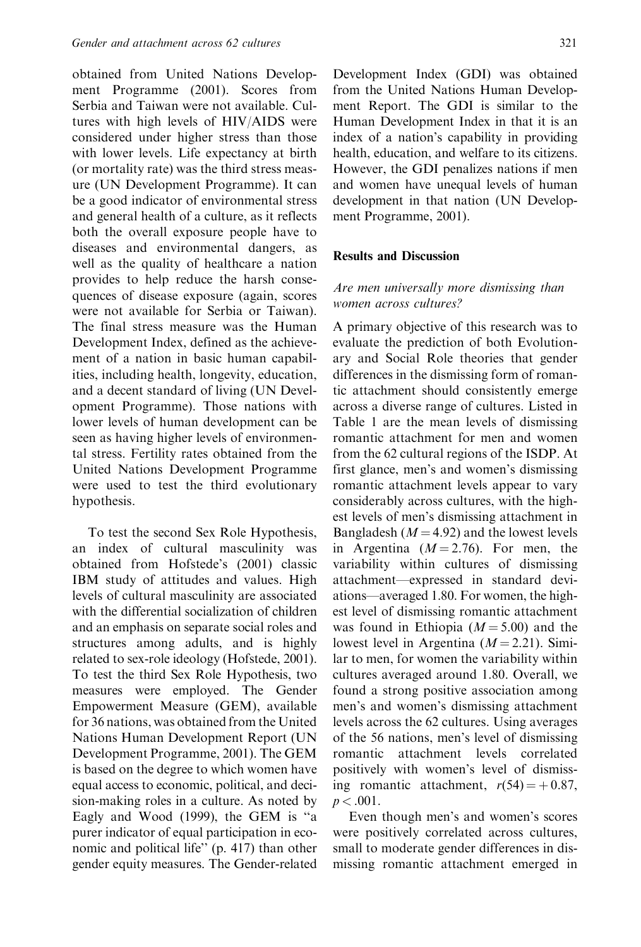obtained from United Nations Development Programme (2001). Scores from Serbia and Taiwan were not available. Cultures with high levels of HIV/AIDS were considered under higher stress than those with lower levels. Life expectancy at birth (or mortality rate) was the third stress measure (UN Development Programme). It can be a good indicator of environmental stress and general health of a culture, as it reflects both the overall exposure people have to diseases and environmental dangers, as well as the quality of healthcare a nation provides to help reduce the harsh consequences of disease exposure (again, scores were not available for Serbia or Taiwan). The final stress measure was the Human Development Index, defined as the achievement of a nation in basic human capabilities, including health, longevity, education, and a decent standard of living (UN Development Programme). Those nations with lower levels of human development can be seen as having higher levels of environmental stress. Fertility rates obtained from the United Nations Development Programme were used to test the third evolutionary hypothesis.

To test the second Sex Role Hypothesis, an index of cultural masculinity was obtained from Hofstede's (2001) classic IBM study of attitudes and values. High levels of cultural masculinity are associated with the differential socialization of children and an emphasis on separate social roles and structures among adults, and is highly related to sex-role ideology (Hofstede, 2001). To test the third Sex Role Hypothesis, two measures were employed. The Gender Empowerment Measure (GEM), available for 36 nations, was obtained from the United Nations Human Development Report (UN Development Programme, 2001). The GEM is based on the degree to which women have equal access to economic, political, and decision-making roles in a culture. As noted by Eagly and Wood (1999), the GEM is ''a purer indicator of equal participation in economic and political life'' (p. 417) than other gender equity measures. The Gender-related Development Index (GDI) was obtained from the United Nations Human Development Report. The GDI is similar to the Human Development Index in that it is an index of a nation's capability in providing health, education, and welfare to its citizens. However, the GDI penalizes nations if men and women have unequal levels of human development in that nation (UN Development Programme, 2001).

#### Results and Discussion

## Are men universally more dismissing than women across cultures?

A primary objective of this research was to evaluate the prediction of both Evolutionary and Social Role theories that gender differences in the dismissing form of romantic attachment should consistently emerge across a diverse range of cultures. Listed in Table 1 are the mean levels of dismissing romantic attachment for men and women from the 62 cultural regions of the ISDP. At first glance, men's and women's dismissing romantic attachment levels appear to vary considerably across cultures, with the highest levels of men's dismissing attachment in Bangladesh ( $M = 4.92$ ) and the lowest levels in Argentina ( $M = 2.76$ ). For men, the variability within cultures of dismissing attachment—expressed in standard deviations—averaged 1.80. For women, the highest level of dismissing romantic attachment was found in Ethiopia  $(M = 5.00)$  and the lowest level in Argentina  $(M = 2.21)$ . Similar to men, for women the variability within cultures averaged around 1.80. Overall, we found a strong positive association among men's and women's dismissing attachment levels across the 62 cultures. Using averages of the 56 nations, men's level of dismissing romantic attachment levels correlated positively with women's level of dismissing romantic attachment,  $r(54) = +0.87$ ,  $p < .001$ .

Even though men's and women's scores were positively correlated across cultures, small to moderate gender differences in dismissing romantic attachment emerged in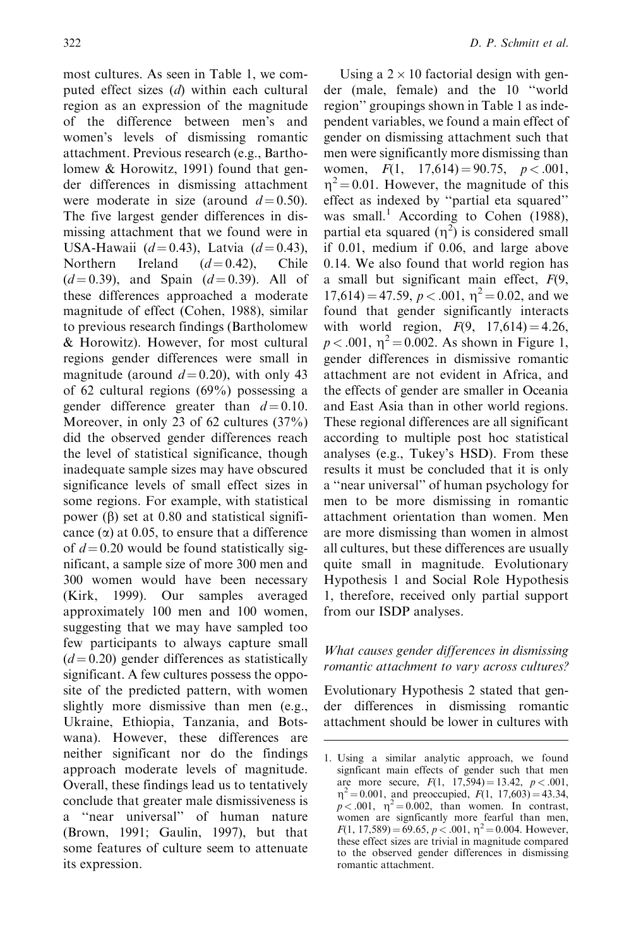most cultures. As seen in Table 1, we computed effect sizes (d) within each cultural region as an expression of the magnitude of the difference between men's and women's levels of dismissing romantic attachment. Previous research (e.g., Bartholomew & Horowitz, 1991) found that gender differences in dismissing attachment were moderate in size (around  $d = 0.50$ ). The five largest gender differences in dismissing attachment that we found were in USA-Hawaii ( $d = 0.43$ ), Latvia ( $d = 0.43$ ), Northern Ireland  $(d=0.42)$ , Chile  $(d = 0.39)$ , and Spain  $(d = 0.39)$ . All of these differences approached a moderate magnitude of effect (Cohen, 1988), similar to previous research findings (Bartholomew & Horowitz). However, for most cultural regions gender differences were small in magnitude (around  $d = 0.20$ ), with only 43 of 62 cultural regions (69%) possessing a gender difference greater than  $d = 0.10$ . Moreover, in only 23 of 62 cultures  $(37%)$ did the observed gender differences reach the level of statistical significance, though inadequate sample sizes may have obscured significance levels of small effect sizes in some regions. For example, with statistical power  $(\beta)$  set at 0.80 and statistical significance  $(\alpha)$  at 0.05, to ensure that a difference of  $d = 0.20$  would be found statistically significant, a sample size of more 300 men and 300 women would have been necessary (Kirk, 1999). Our samples averaged approximately 100 men and 100 women, suggesting that we may have sampled too few participants to always capture small  $(d=0.20)$  gender differences as statistically significant. A few cultures possess the opposite of the predicted pattern, with women slightly more dismissive than men (e.g., Ukraine, Ethiopia, Tanzania, and Botswana). However, these differences are neither significant nor do the findings approach moderate levels of magnitude. Overall, these findings lead us to tentatively conclude that greater male dismissiveness is "near universal" of human nature (Brown, 1991; Gaulin, 1997), but that some features of culture seem to attenuate its expression.

Using a  $2 \times 10$  factorial design with gender (male, female) and the 10 ''world region'' groupings shown in Table 1 as independent variables, we found a main effect of gender on dismissing attachment such that men were significantly more dismissing than women,  $F(1, 17,614) = 90.75, p < .001$ ,  $\eta^2$  = 0.01. However, the magnitude of this effect as indexed by ''partial eta squared'' was small.<sup>1</sup> According to Cohen (1988), partial eta squared  $(\eta^2)$  is considered small if 0.01, medium if 0.06, and large above 0.14. We also found that world region has a small but significant main effect,  $F(9, 1)$  $17,614$  = 47.59,  $p < .001$ ,  $\eta^2 = 0.02$ , and we found that gender significantly interacts with world region,  $F(9, 17,614) = 4.26$ ,  $p < .001$ ,  $\eta^2 = 0.002$ . As shown in Figure 1, gender differences in dismissive romantic attachment are not evident in Africa, and the effects of gender are smaller in Oceania and East Asia than in other world regions. These regional differences are all significant according to multiple post hoc statistical analyses (e.g., Tukey's HSD). From these results it must be concluded that it is only a ''near universal'' of human psychology for men to be more dismissing in romantic attachment orientation than women. Men are more dismissing than women in almost all cultures, but these differences are usually quite small in magnitude. Evolutionary Hypothesis 1 and Social Role Hypothesis 1, therefore, received only partial support from our ISDP analyses.

## What causes gender differences in dismissing romantic attachment to vary across cultures?

Evolutionary Hypothesis 2 stated that gender differences in dismissing romantic attachment should be lower in cultures with

<sup>1.</sup> Using a similar analytic approach, we found signficant main effects of gender such that men are more secure,  $F(1, 17,594) = 13.42, p < .001$ ,  $\eta^2 = 0.001$ , and preoccupied,  $F(1, 17,603) = 43.34$ ,  $p < .001$ ,  $\eta^2 = 0.002$ , than women. In contrast, women are signficantly more fearful than men,  $F(1, 17,589) = 69.65, p < .001, \eta^2 = 0.004$ . However, these effect sizes are trivial in magnitude compared to the observed gender differences in dismissing romantic attachment.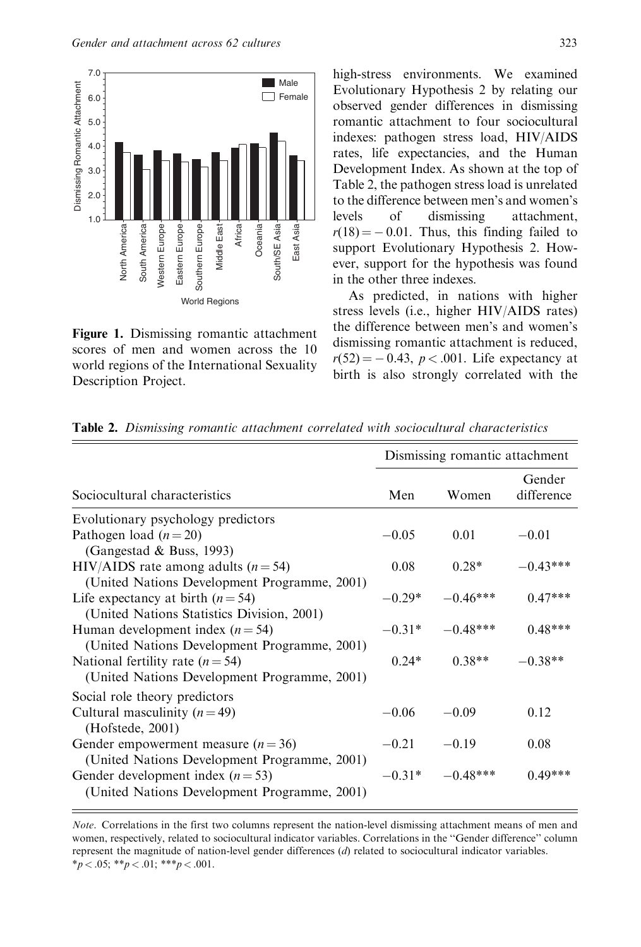

Figure 1. Dismissing romantic attachment scores of men and women across the 10 world regions of the International Sexuality Description Project.

high-stress environments. We examined Evolutionary Hypothesis 2 by relating our observed gender differences in dismissing romantic attachment to four sociocultural indexes: pathogen stress load, HIV/AIDS rates, life expectancies, and the Human Development Index. As shown at the top of Table 2, the pathogen stress load is unrelated to the difference between men's and women's levels of dismissing attachment,  $r(18) = -0.01$ . Thus, this finding failed to support Evolutionary Hypothesis 2. However, support for the hypothesis was found in the other three indexes.

As predicted, in nations with higher stress levels (i.e., higher HIV/AIDS rates) the difference between men's and women's dismissing romantic attachment is reduced,  $r(52) = -0.43$ ,  $p < .001$ . Life expectancy at birth is also strongly correlated with the

|                                                                                                                                  | Dismissing romantic attachment |            |                      |  |  |
|----------------------------------------------------------------------------------------------------------------------------------|--------------------------------|------------|----------------------|--|--|
| Sociocultural characteristics                                                                                                    | Men                            | Women      | Gender<br>difference |  |  |
| Evolutionary psychology predictors                                                                                               |                                |            |                      |  |  |
| Pathogen load $(n=20)$                                                                                                           | $-0.05$                        | 0.01       | $-0.01$              |  |  |
| (Gangestad & Buss, 1993)                                                                                                         |                                |            |                      |  |  |
| HIV/AIDS rate among adults $(n = 54)$                                                                                            | 0.08                           | $0.28*$    | $-0.43***$           |  |  |
| (United Nations Development Programme, 2001)<br>Life expectancy at birth $(n=54)$                                                | $-0.29*$                       | $-0.46***$ | $0.47***$            |  |  |
| (United Nations Statistics Division, 2001)                                                                                       |                                |            |                      |  |  |
| Human development index $(n = 54)$                                                                                               | $-0.31*$                       | $-0.48***$ | $0.48***$            |  |  |
| (United Nations Development Programme, 2001)<br>National fertility rate $(n=54)$<br>(United Nations Development Programme, 2001) | $0.24*$                        | $0.38**$   | $-0.38**$            |  |  |
| Social role theory predictors                                                                                                    |                                |            |                      |  |  |
| Cultural masculinity $(n=49)$<br>(Hofstede, 2001)                                                                                | $-0.06$                        | $-0.09$    | 0.12                 |  |  |
| Gender empowerment measure $(n = 36)$<br>(United Nations Development Programme, 2001)                                            | $-0.21$                        | $-0.19$    | 0.08                 |  |  |
| Gender development index $(n=53)$<br>(United Nations Development Programme, 2001)                                                | $-0.31*$                       | $-0.48***$ | $0.49***$            |  |  |

Table 2. Dismissing romantic attachment correlated with sociocultural characteristics

Note. Correlations in the first two columns represent the nation-level dismissing attachment means of men and women, respectively, related to sociocultural indicator variables. Correlations in the ''Gender difference'' column represent the magnitude of nation-level gender differences (d) related to sociocultural indicator variables.  $*_p$  < .05;  $*_p$  < .01;  $**_p$  < .001.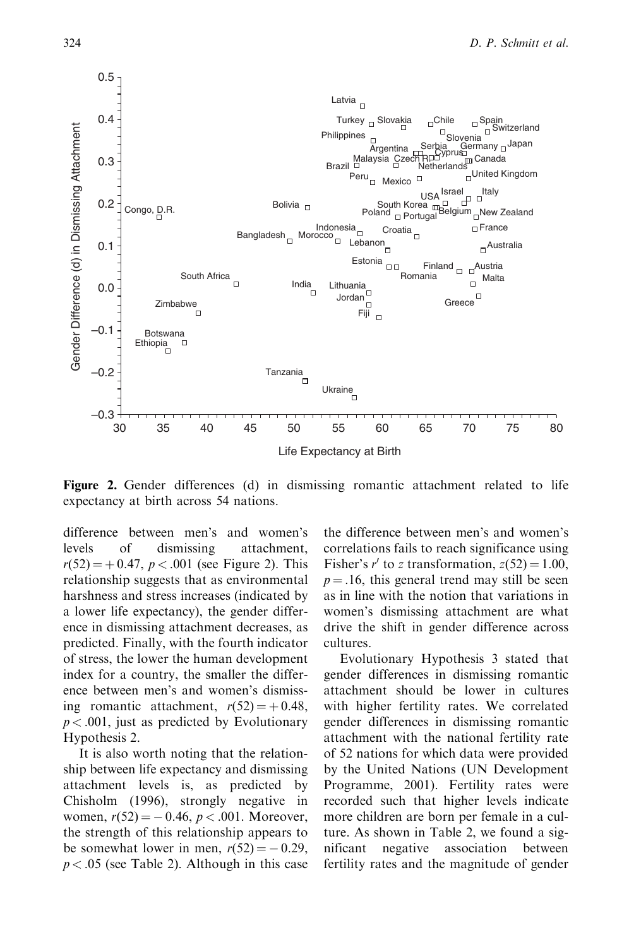

Figure 2. Gender differences (d) in dismissing romantic attachment related to life expectancy at birth across 54 nations.

difference between men's and women's levels of dismissing attachment,  $r(52) = +0.47$ ,  $p < .001$  (see Figure 2). This relationship suggests that as environmental harshness and stress increases (indicated by a lower life expectancy), the gender difference in dismissing attachment decreases, as predicted. Finally, with the fourth indicator of stress, the lower the human development index for a country, the smaller the difference between men's and women's dismissing romantic attachment,  $r(52) = +0.48$ ,  $p < .001$ , just as predicted by Evolutionary Hypothesis 2.

It is also worth noting that the relationship between life expectancy and dismissing attachment levels is, as predicted by Chisholm (1996), strongly negative in women,  $r(52) = -0.46$ ,  $p < .001$ . Moreover, the strength of this relationship appears to be somewhat lower in men,  $r(52) = -0.29$ ,  $p < .05$  (see Table 2). Although in this case

the difference between men's and women's correlations fails to reach significance using Fisher's r' to z transformation,  $z(52) = 1.00$ ,  $p = .16$ , this general trend may still be seen as in line with the notion that variations in women's dismissing attachment are what drive the shift in gender difference across cultures.

Evolutionary Hypothesis 3 stated that gender differences in dismissing romantic attachment should be lower in cultures with higher fertility rates. We correlated gender differences in dismissing romantic attachment with the national fertility rate of 52 nations for which data were provided by the United Nations (UN Development Programme, 2001). Fertility rates were recorded such that higher levels indicate more children are born per female in a culture. As shown in Table 2, we found a significant negative association between fertility rates and the magnitude of gender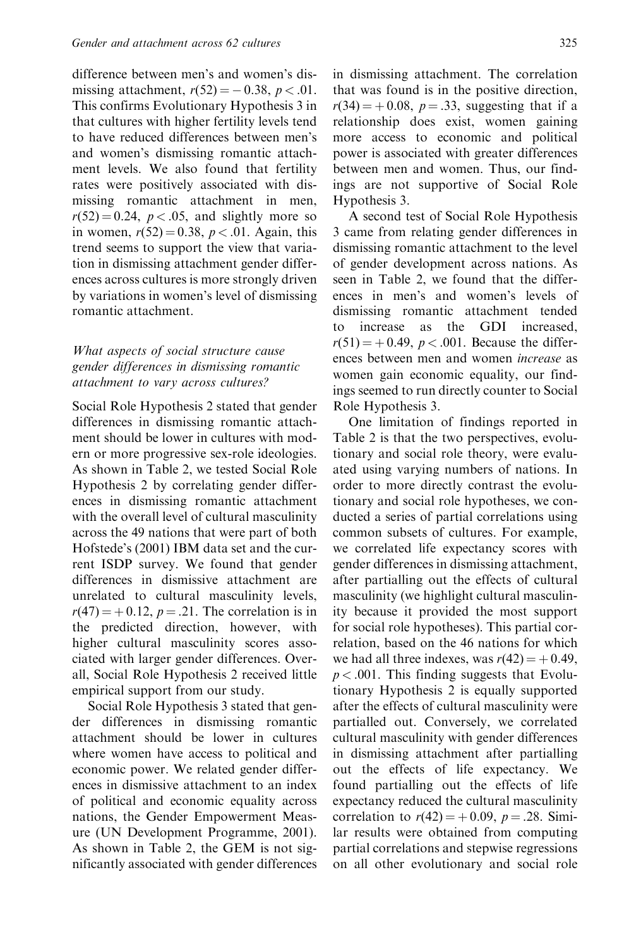difference between men's and women's dismissing attachment,  $r(52) = -0.38$ ,  $p < .01$ . This confirms Evolutionary Hypothesis 3 in that cultures with higher fertility levels tend to have reduced differences between men's and women's dismissing romantic attachment levels. We also found that fertility rates were positively associated with dismissing romantic attachment in men,  $r(52) = 0.24$ ,  $p < .05$ , and slightly more so in women,  $r(52) = 0.38$ ,  $p < .01$ . Again, this trend seems to support the view that variation in dismissing attachment gender differences across cultures is more strongly driven by variations in women's level of dismissing romantic attachment.

## What aspects of social structure cause gender differences in dismissing romantic attachment to vary across cultures?

Social Role Hypothesis 2 stated that gender differences in dismissing romantic attachment should be lower in cultures with modern or more progressive sex-role ideologies. As shown in Table 2, we tested Social Role Hypothesis 2 by correlating gender differences in dismissing romantic attachment with the overall level of cultural masculinity across the 49 nations that were part of both Hofstede's (2001) IBM data set and the current ISDP survey. We found that gender differences in dismissive attachment are unrelated to cultural masculinity levels,  $r(47) = +0.12, p = .21$ . The correlation is in the predicted direction, however, with higher cultural masculinity scores associated with larger gender differences. Overall, Social Role Hypothesis 2 received little empirical support from our study.

Social Role Hypothesis 3 stated that gender differences in dismissing romantic attachment should be lower in cultures where women have access to political and economic power. We related gender differences in dismissive attachment to an index of political and economic equality across nations, the Gender Empowerment Measure (UN Development Programme, 2001). As shown in Table 2, the GEM is not significantly associated with gender differences in dismissing attachment. The correlation that was found is in the positive direction,  $r(34) = +0.08$ ,  $p = .33$ , suggesting that if a relationship does exist, women gaining more access to economic and political power is associated with greater differences between men and women. Thus, our findings are not supportive of Social Role Hypothesis 3.

A second test of Social Role Hypothesis 3 came from relating gender differences in dismissing romantic attachment to the level of gender development across nations. As seen in Table 2, we found that the differences in men's and women's levels of dismissing romantic attachment tended to increase as the GDI increased,  $r(51) = +0.49$ ,  $p < .001$ . Because the differences between men and women increase as women gain economic equality, our findings seemed to run directly counter to Social Role Hypothesis 3.

One limitation of findings reported in Table 2 is that the two perspectives, evolutionary and social role theory, were evaluated using varying numbers of nations. In order to more directly contrast the evolutionary and social role hypotheses, we conducted a series of partial correlations using common subsets of cultures. For example, we correlated life expectancy scores with gender differences in dismissing attachment, after partialling out the effects of cultural masculinity (we highlight cultural masculinity because it provided the most support for social role hypotheses). This partial correlation, based on the 46 nations for which we had all three indexes, was  $r(42) = +0.49$ ,  $p < .001$ . This finding suggests that Evolutionary Hypothesis 2 is equally supported after the effects of cultural masculinity were partialled out. Conversely, we correlated cultural masculinity with gender differences in dismissing attachment after partialling out the effects of life expectancy. We found partialling out the effects of life expectancy reduced the cultural masculinity correlation to  $r(42) = +0.09$ ,  $p = .28$ . Similar results were obtained from computing partial correlations and stepwise regressions on all other evolutionary and social role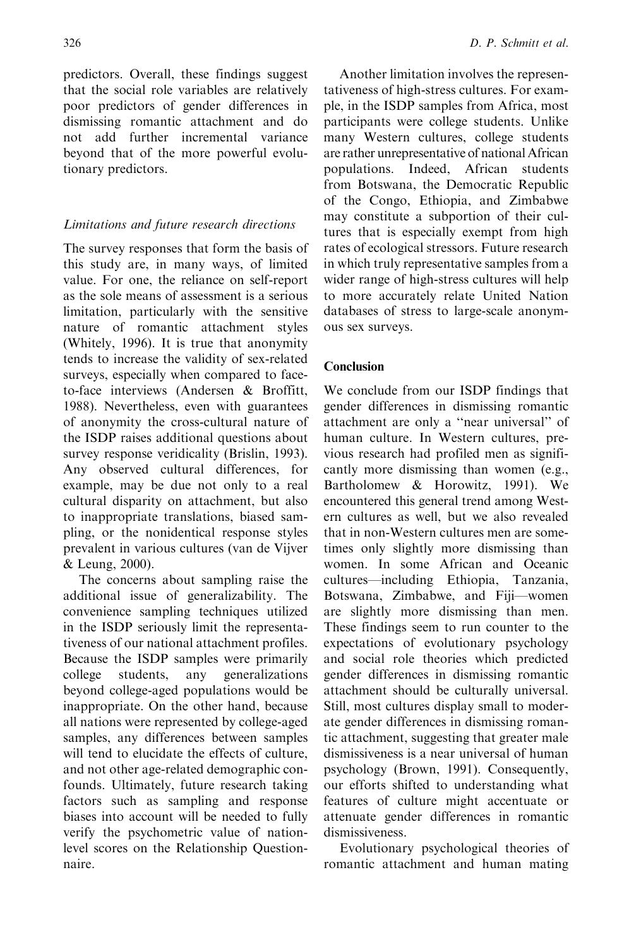predictors. Overall, these findings suggest that the social role variables are relatively poor predictors of gender differences in dismissing romantic attachment and do not add further incremental variance beyond that of the more powerful evolutionary predictors.

# Limitations and future research directions

The survey responses that form the basis of this study are, in many ways, of limited value. For one, the reliance on self-report as the sole means of assessment is a serious limitation, particularly with the sensitive nature of romantic attachment styles (Whitely, 1996). It is true that anonymity tends to increase the validity of sex-related surveys, especially when compared to faceto-face interviews (Andersen & Broffitt, 1988). Nevertheless, even with guarantees of anonymity the cross-cultural nature of the ISDP raises additional questions about survey response veridicality (Brislin, 1993). Any observed cultural differences, for example, may be due not only to a real cultural disparity on attachment, but also to inappropriate translations, biased sampling, or the nonidentical response styles prevalent in various cultures (van de Vijver & Leung, 2000).

The concerns about sampling raise the additional issue of generalizability. The convenience sampling techniques utilized in the ISDP seriously limit the representativeness of our national attachment profiles. Because the ISDP samples were primarily college students, any generalizations beyond college-aged populations would be inappropriate. On the other hand, because all nations were represented by college-aged samples, any differences between samples will tend to elucidate the effects of culture, and not other age-related demographic confounds. Ultimately, future research taking factors such as sampling and response biases into account will be needed to fully verify the psychometric value of nationlevel scores on the Relationship Questionnaire.

Another limitation involves the representativeness of high-stress cultures. For example, in the ISDP samples from Africa, most participants were college students. Unlike many Western cultures, college students are rather unrepresentative of national African populations. Indeed, African students from Botswana, the Democratic Republic of the Congo, Ethiopia, and Zimbabwe may constitute a subportion of their cultures that is especially exempt from high rates of ecological stressors. Future research in which truly representative samples from a wider range of high-stress cultures will help to more accurately relate United Nation databases of stress to large-scale anonymous sex surveys.

## Conclusion

We conclude from our ISDP findings that gender differences in dismissing romantic attachment are only a ''near universal'' of human culture. In Western cultures, previous research had profiled men as significantly more dismissing than women (e.g., Bartholomew & Horowitz, 1991). We encountered this general trend among Western cultures as well, but we also revealed that in non-Western cultures men are sometimes only slightly more dismissing than women. In some African and Oceanic cultures—including Ethiopia, Tanzania, Botswana, Zimbabwe, and Fiji—women are slightly more dismissing than men. These findings seem to run counter to the expectations of evolutionary psychology and social role theories which predicted gender differences in dismissing romantic attachment should be culturally universal. Still, most cultures display small to moderate gender differences in dismissing romantic attachment, suggesting that greater male dismissiveness is a near universal of human psychology (Brown, 1991). Consequently, our efforts shifted to understanding what features of culture might accentuate or attenuate gender differences in romantic dismissiveness.

Evolutionary psychological theories of romantic attachment and human mating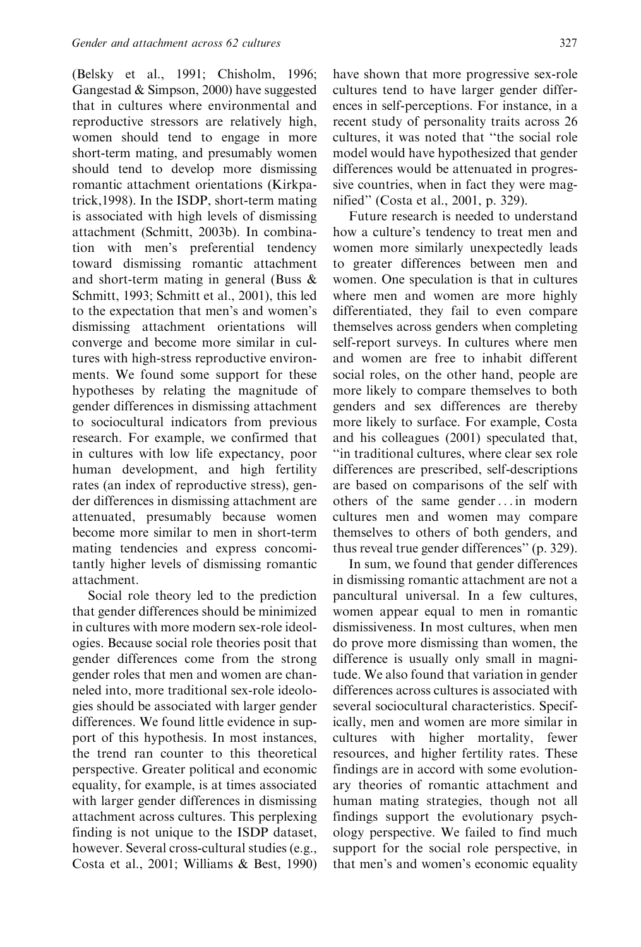(Belsky et al., 1991; Chisholm, 1996; Gangestad & Simpson, 2000) have suggested that in cultures where environmental and reproductive stressors are relatively high, women should tend to engage in more short-term mating, and presumably women should tend to develop more dismissing romantic attachment orientations (Kirkpatrick,1998). In the ISDP, short-term mating is associated with high levels of dismissing attachment (Schmitt, 2003b). In combination with men's preferential tendency toward dismissing romantic attachment and short-term mating in general (Buss & Schmitt, 1993; Schmitt et al., 2001), this led to the expectation that men's and women's dismissing attachment orientations will converge and become more similar in cultures with high-stress reproductive environments. We found some support for these hypotheses by relating the magnitude of gender differences in dismissing attachment to sociocultural indicators from previous research. For example, we confirmed that in cultures with low life expectancy, poor human development, and high fertility rates (an index of reproductive stress), gender differences in dismissing attachment are attenuated, presumably because women become more similar to men in short-term mating tendencies and express concomitantly higher levels of dismissing romantic attachment.

Social role theory led to the prediction that gender differences should be minimized in cultures with more modern sex-role ideologies. Because social role theories posit that gender differences come from the strong gender roles that men and women are channeled into, more traditional sex-role ideologies should be associated with larger gender differences. We found little evidence in support of this hypothesis. In most instances, the trend ran counter to this theoretical perspective. Greater political and economic equality, for example, is at times associated with larger gender differences in dismissing attachment across cultures. This perplexing finding is not unique to the ISDP dataset, however. Several cross-cultural studies (e.g., Costa et al., 2001; Williams & Best, 1990) have shown that more progressive sex-role cultures tend to have larger gender differences in self-perceptions. For instance, in a recent study of personality traits across 26 cultures, it was noted that ''the social role model would have hypothesized that gender differences would be attenuated in progressive countries, when in fact they were magnified'' (Costa et al., 2001, p. 329).

Future research is needed to understand how a culture's tendency to treat men and women more similarly unexpectedly leads to greater differences between men and women. One speculation is that in cultures where men and women are more highly differentiated, they fail to even compare themselves across genders when completing self-report surveys. In cultures where men and women are free to inhabit different social roles, on the other hand, people are more likely to compare themselves to both genders and sex differences are thereby more likely to surface. For example, Costa and his colleagues (2001) speculated that, ''in traditional cultures, where clear sex role differences are prescribed, self-descriptions are based on comparisons of the self with others of the same gender... in modern cultures men and women may compare themselves to others of both genders, and thus reveal true gender differences'' (p. 329).

In sum, we found that gender differences in dismissing romantic attachment are not a pancultural universal. In a few cultures, women appear equal to men in romantic dismissiveness. In most cultures, when men do prove more dismissing than women, the difference is usually only small in magnitude. We also found that variation in gender differences across cultures is associated with several sociocultural characteristics. Specifically, men and women are more similar in cultures with higher mortality, fewer resources, and higher fertility rates. These findings are in accord with some evolutionary theories of romantic attachment and human mating strategies, though not all findings support the evolutionary psychology perspective. We failed to find much support for the social role perspective, in that men's and women's economic equality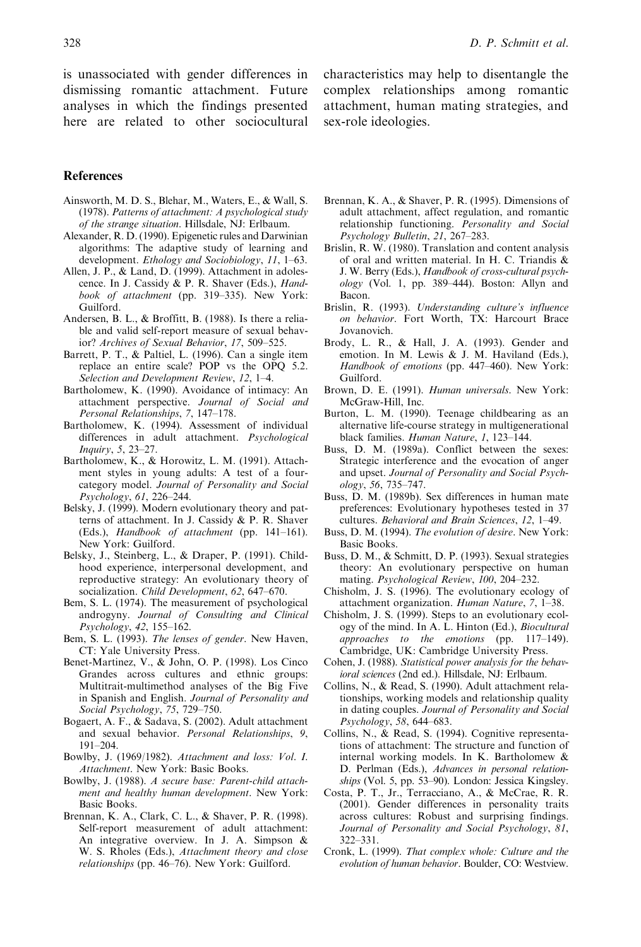is unassociated with gender differences in dismissing romantic attachment. Future analyses in which the findings presented here are related to other sociocultural

characteristics may help to disentangle the complex relationships among romantic attachment, human mating strategies, and sex-role ideologies.

#### References

- Ainsworth, M. D. S., Blehar, M., Waters, E., & Wall, S. (1978). Patterns of attachment: A psychological study of the strange situation. Hillsdale, NJ: Erlbaum.
- Alexander, R. D. (1990). Epigenetic rules and Darwinian algorithms: The adaptive study of learning and development. Ethology and Sociobiology, 11, 1–63.
- Allen, J. P., & Land, D. (1999). Attachment in adolescence. In J. Cassidy & P. R. Shaver (Eds.), *Hand*book of attachment (pp. 319–335). New York: Guilford.
- Andersen, B. L., & Broffitt, B. (1988). Is there a reliable and valid self-report measure of sexual behavior? Archives of Sexual Behavior, 17, 509–525.
- Barrett, P. T., & Paltiel, L. (1996). Can a single item replace an entire scale? POP vs the OPQ 5.2. Selection and Development Review, 12, 1–4.
- Bartholomew, K. (1990). Avoidance of intimacy: An attachment perspective. Journal of Social and Personal Relationships, 7, 147–178.
- Bartholomew, K. (1994). Assessment of individual differences in adult attachment. Psychological Inquiry, 5, 23–27.
- Bartholomew, K., & Horowitz, L. M. (1991). Attachment styles in young adults: A test of a fourcategory model. Journal of Personality and Social Psychology, 61, 226–244.
- Belsky, J. (1999). Modern evolutionary theory and patterns of attachment. In J. Cassidy & P. R. Shaver (Eds.), Handbook of attachment (pp. 141–161). New York: Guilford.
- Belsky, J., Steinberg, L., & Draper, P. (1991). Childhood experience, interpersonal development, and reproductive strategy: An evolutionary theory of socialization. Child Development, 62, 647–670.
- Bem, S. L. (1974). The measurement of psychological androgyny. Journal of Consulting and Clinical Psychology, 42, 155–162.
- Bem, S. L. (1993). The lenses of gender. New Haven, CT: Yale University Press.
- Benet-Martinez, V., & John, O. P. (1998). Los Cinco Grandes across cultures and ethnic groups: Multitrait-multimethod analyses of the Big Five in Spanish and English. Journal of Personality and Social Psychology, 75, 729–750.
- Bogaert, A. F., & Sadava, S. (2002). Adult attachment and sexual behavior. Personal Relationships, 9, 191–204.
- Bowlby, J. (1969/1982). Attachment and loss: Vol. I. Attachment. New York: Basic Books.
- Bowlby, J. (1988). A secure base: Parent-child attachment and healthy human development. New York: Basic Books.
- Brennan, K. A., Clark, C. L., & Shaver, P. R. (1998). Self-report measurement of adult attachment: An integrative overview. In J. A. Simpson & W. S. Rholes (Eds.), Attachment theory and close relationships (pp. 46–76). New York: Guilford.
- Brennan, K. A., & Shaver, P. R. (1995). Dimensions of adult attachment, affect regulation, and romantic relationship functioning. Personality and Social Psychology Bulletin, 21, 267–283.
- Brislin, R. W. (1980). Translation and content analysis of oral and written material. In H. C. Triandis & J. W. Berry (Eds.), Handbook of cross-cultural psychology (Vol. 1, pp. 389–444). Boston: Allyn and Bacon.
- Brislin, R. (1993). Understanding culture's influence on behavior. Fort Worth, TX: Harcourt Brace Jovanovich.
- Brody, L. R., & Hall, J. A. (1993). Gender and emotion. In M. Lewis & J. M. Haviland (Eds.), Handbook of emotions (pp. 447–460). New York: Guilford.
- Brown, D. E. (1991). Human universals. New York: McGraw-Hill, Inc.
- Burton, L. M. (1990). Teenage childbearing as an alternative life-course strategy in multigenerational black families. Human Nature, 1, 123–144.
- Buss, D. M. (1989a). Conflict between the sexes: Strategic interference and the evocation of anger and upset. Journal of Personality and Social Psychology, 56, 735–747.
- Buss, D. M. (1989b). Sex differences in human mate preferences: Evolutionary hypotheses tested in 37 cultures. Behavioral and Brain Sciences, 12, 1–49.
- Buss, D. M. (1994). The evolution of desire. New York: Basic Books.
- Buss, D. M., & Schmitt, D. P. (1993). Sexual strategies theory: An evolutionary perspective on human mating. Psychological Review, 100, 204–232.
- Chisholm, J. S. (1996). The evolutionary ecology of attachment organization. Human Nature, 7, 1–38.
- Chisholm, J. S. (1999). Steps to an evolutionary ecology of the mind. In A. L. Hinton (Ed.), Biocultural approaches to the emotions (pp. 117–149). Cambridge, UK: Cambridge University Press.
- Cohen, J. (1988). Statistical power analysis for the behavioral sciences (2nd ed.). Hillsdale, NJ: Erlbaum.
- Collins, N., & Read, S. (1990). Adult attachment relationships, working models and relationship quality in dating couples. Journal of Personality and Social Psychology, 58, 644–683.
- Collins, N., & Read, S. (1994). Cognitive representations of attachment: The structure and function of internal working models. In K. Bartholomew & D. Perlman (Eds.), Advances in personal relationships (Vol. 5, pp. 53–90). London: Jessica Kingsley.
- Costa, P. T., Jr., Terracciano, A., & McCrae, R. R. (2001). Gender differences in personality traits across cultures: Robust and surprising findings. Journal of Personality and Social Psychology, 81, 322–331.
- Cronk, L. (1999). That complex whole: Culture and the evolution of human behavior. Boulder, CO: Westview.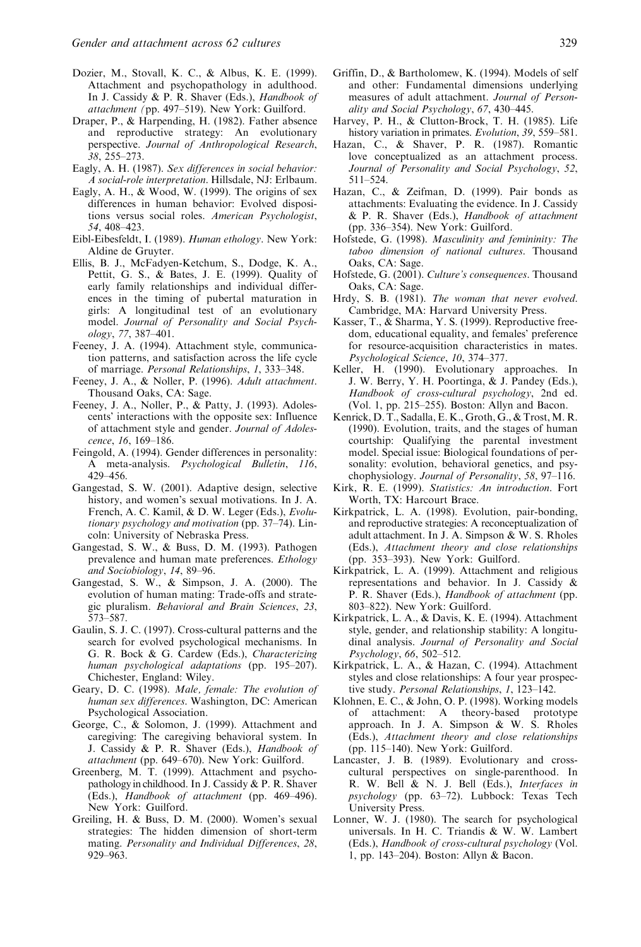- Dozier, M., Stovall, K. C., & Albus, K. E. (1999). Attachment and psychopathology in adulthood. In J. Cassidy & P. R. Shaver (Eds.), Handbook of attachment (pp. 497–519). New York: Guilford.
- Draper, P., & Harpending, H. (1982). Father absence and reproductive strategy: An evolutionary perspective. Journal of Anthropological Research, 38, 255–273.
- Eagly, A. H. (1987). Sex differences in social behavior: A social-role interpretation. Hillsdale, NJ: Erlbaum.
- Eagly, A. H., & Wood, W. (1999). The origins of sex differences in human behavior: Evolved dispositions versus social roles. American Psychologist, 54, 408–423.
- Eibl-Eibesfeldt, I. (1989). Human ethology. New York: Aldine de Gruyter.
- Ellis, B. J., McFadyen-Ketchum, S., Dodge, K. A., Pettit, G. S., & Bates, J. E. (1999). Quality of early family relationships and individual differences in the timing of pubertal maturation in girls: A longitudinal test of an evolutionary model. Journal of Personality and Social Psychology, 77, 387–401.
- Feeney, J. A. (1994). Attachment style, communication patterns, and satisfaction across the life cycle of marriage. Personal Relationships, 1, 333–348.
- Feeney, J. A., & Noller, P. (1996). Adult attachment. Thousand Oaks, CA: Sage.
- Feeney, J. A., Noller, P., & Patty, J. (1993). Adolescents' interactions with the opposite sex: Influence of attachment style and gender. Journal of Adolescence, 16, 169–186.
- Feingold, A. (1994). Gender differences in personality: A meta-analysis. Psychological Bulletin, 116, 429–456.
- Gangestad, S. W. (2001). Adaptive design, selective history, and women's sexual motivations. In J. A. French, A. C. Kamil, & D. W. Leger (Eds.), Evolutionary psychology and motivation (pp. 37–74). Lincoln: University of Nebraska Press.
- Gangestad, S. W., & Buss, D. M. (1993). Pathogen prevalence and human mate preferences. Ethology and Sociobiology, 14, 89–96.
- Gangestad, S. W., & Simpson, J. A. (2000). The evolution of human mating: Trade-offs and strategic pluralism. Behavioral and Brain Sciences, 23, 573–587.
- Gaulin, S. J. C. (1997). Cross-cultural patterns and the search for evolved psychological mechanisms. In G. R. Bock & G. Cardew (Eds.), Characterizing human psychological adaptations (pp. 195–207). Chichester, England: Wiley.
- Geary, D. C. (1998). Male, female: The evolution of human sex differences. Washington, DC: American Psychological Association.
- George, C., & Solomon, J. (1999). Attachment and caregiving: The caregiving behavioral system. In J. Cassidy & P. R. Shaver (Eds.), Handbook of attachment (pp. 649–670). New York: Guilford.
- Greenberg, M. T. (1999). Attachment and psychopathology in childhood. In J. Cassidy & P. R. Shaver (Eds.), Handbook of attachment (pp. 469–496). New York: Guilford.
- Greiling, H. & Buss, D. M. (2000). Women's sexual strategies: The hidden dimension of short-term mating. Personality and Individual Differences, 28, 929–963.
- Griffin, D., & Bartholomew, K. (1994). Models of self and other: Fundamental dimensions underlying measures of adult attachment. Journal of Personality and Social Psychology, 67, 430–445.
- Harvey, P. H., & Clutton-Brock, T. H. (1985). Life history variation in primates. Evolution, 39, 559–581.
- Hazan, C., & Shaver, P. R. (1987). Romantic love conceptualized as an attachment process. Journal of Personality and Social Psychology, 52, 511–524.
- Hazan, C., & Zeifman, D. (1999). Pair bonds as attachments: Evaluating the evidence. In J. Cassidy & P. R. Shaver (Eds.), Handbook of attachment (pp. 336–354). New York: Guilford.
- Hofstede, G. (1998). Masculinity and femininity: The taboo dimension of national cultures. Thousand Oaks, CA: Sage.
- Hofstede, G. (2001). Culture's consequences. Thousand Oaks, CA: Sage.
- Hrdy, S. B. (1981). The woman that never evolved. Cambridge, MA: Harvard University Press.
- Kasser, T., & Sharma, Y. S. (1999). Reproductive freedom, educational equality, and females' preference for resource-acquisition characteristics in mates. Psychological Science, 10, 374–377.
- Keller, H. (1990). Evolutionary approaches. In J. W. Berry, Y. H. Poortinga, & J. Pandey (Eds.), Handbook of cross-cultural psychology, 2nd ed. (Vol. 1, pp. 215–255). Boston: Allyn and Bacon.
- Kenrick, D. T., Sadalla, E. K., Groth, G., & Trost, M. R. (1990). Evolution, traits, and the stages of human courtship: Qualifying the parental investment model. Special issue: Biological foundations of personality: evolution, behavioral genetics, and psychophysiology. Journal of Personality, 58, 97–116.
- Kirk, R. E. (1999). Statistics: An introduction. Fort Worth, TX: Harcourt Brace.
- Kirkpatrick, L. A. (1998). Evolution, pair-bonding, and reproductive strategies: A reconceptualization of adult attachment. In J. A. Simpson & W. S. Rholes (Eds.), Attachment theory and close relationships (pp. 353–393). New York: Guilford.
- Kirkpatrick, L. A. (1999). Attachment and religious representations and behavior. In J. Cassidy & P. R. Shaver (Eds.), Handbook of attachment (pp. 803–822). New York: Guilford.
- Kirkpatrick, L. A., & Davis, K. E. (1994). Attachment style, gender, and relationship stability: A longitudinal analysis. Journal of Personality and Social Psychology, 66, 502–512.
- Kirkpatrick, L. A., & Hazan, C. (1994). Attachment styles and close relationships: A four year prospective study. Personal Relationships, 1, 123–142.
- Klohnen, E. C., & John, O. P. (1998). Working models of attachment: A theory-based prototype approach. In J. A. Simpson & W. S. Rholes (Eds.), Attachment theory and close relationships (pp. 115–140). New York: Guilford.
- Lancaster, J. B. (1989). Evolutionary and crosscultural perspectives on single-parenthood. In R. W. Bell & N. J. Bell (Eds.), Interfaces in psychology (pp. 63–72). Lubbock: Texas Tech University Press.
- Lonner, W. J. (1980). The search for psychological universals. In H. C. Triandis & W. W. Lambert (Eds.), Handbook of cross-cultural psychology (Vol. 1, pp. 143–204). Boston: Allyn & Bacon.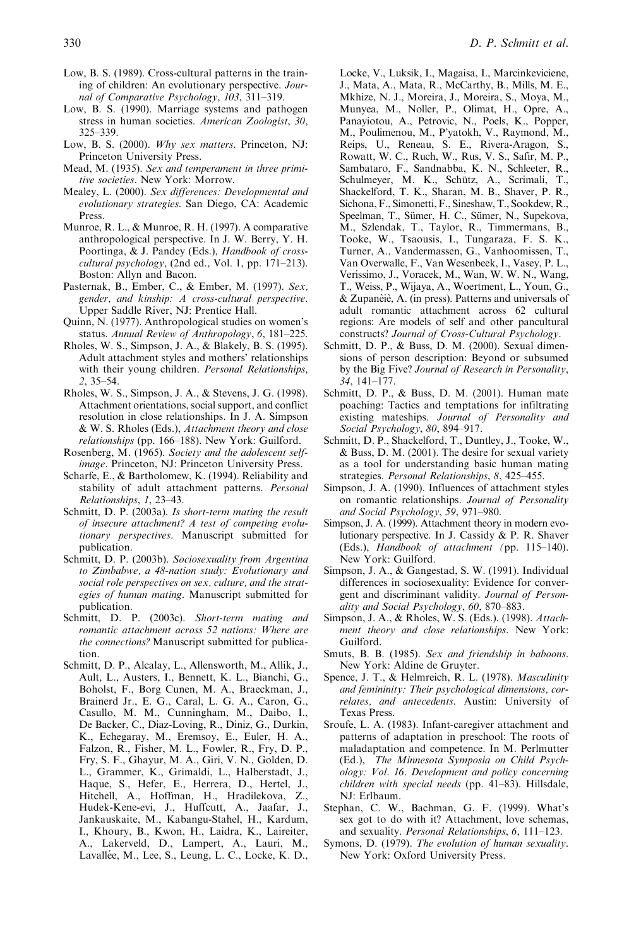- Low, B. S. (1989). Cross-cultural patterns in the training of children: An evolutionary perspective. Journal of Comparative Psychology, 103, 311–319.
- Low, B. S. (1990). Marriage systems and pathogen stress in human societies. American Zoologist, 30, 325–339.
- Low, B. S. (2000). Why sex matters. Princeton, NJ: Princeton University Press.
- Mead, M. (1935). Sex and temperament in three primitive societies. New York: Morrow.
- Mealey, L. (2000). Sex differences: Developmental and evolutionary strategies. San Diego, CA: Academic Press.
- Munroe, R. L., & Munroe, R. H. (1997). A comparative anthropological perspective. In J. W. Berry, Y. H. Poortinga, & J. Pandey (Eds.), Handbook of crosscultural psychology, (2nd ed., Vol. 1, pp. 171–213). Boston: Allyn and Bacon.
- Pasternak, B., Ember, C., & Ember, M. (1997). Sex, gender, and kinship: A cross-cultural perspective. Upper Saddle River, NJ: Prentice Hall.
- Quinn, N. (1977). Anthropological studies on women's status. Annual Review of Anthropology, 6, 181–225.
- Rholes, W. S., Simpson, J. A., & Blakely, B. S. (1995). Adult attachment styles and mothers' relationships with their young children. Personal Relationships, 2, 35–54.
- Rholes, W. S., Simpson, J. A., & Stevens, J. G. (1998). Attachment orientations, social support, and conflict resolution in close relationships. In J. A. Simpson & W. S. Rholes (Eds.), Attachment theory and close relationships (pp. 166–188). New York: Guilford.
- Rosenberg, M. (1965). Society and the adolescent selfimage. Princeton, NJ: Princeton University Press.
- Scharfe, E., & Bartholomew, K. (1994). Reliability and stability of adult attachment patterns. Personal Relationships, 1, 23–43.
- Schmitt, D. P. (2003a). Is short-term mating the result of insecure attachment? A test of competing evolutionary perspectives. Manuscript submitted for publication.
- Schmitt, D. P. (2003b). Sociosexuality from Argentina to Zimbabwe, a 48-nation study: Evolutionary and social role perspectives on sex, culture, and the strategies of human mating. Manuscript submitted for publication.
- Schmitt, D. P. (2003c). Short-term mating and romantic attachment across 52 nations: Where are the connections? Manuscript submitted for publication.
- Schmitt, D. P., Alcalay, L., Allensworth, M., Allik, J., Ault, L., Austers, I., Bennett, K. L., Bianchi, G., Boholst, F., Borg Cunen, M. A., Braeckman, J., Brainerd Jr., E. G., Caral, L. G. A., Caron, G., Casullo, M. M., Cunningham, M., Daibo, I., De Backer, C., Diaz-Loving, R., Diniz, G., Durkin, K., Echegaray, M., Eremsoy, E., Euler, H. A., Falzon, R., Fisher, M. L., Fowler, R., Fry, D. P., Fry, S. F., Ghayur, M. A., Giri, V. N., Golden, D. L., Grammer, K., Grimaldi, L., Halberstadt, J., Haque, S., Hefer, E., Herrera, D., Hertel, J., Hitchell, A., Hoffman, H., Hradilekova, Z., Hudek-Kene-evi, J., Huffcutt, A., Jaafar, J., Jankauskaite, M., Kabangu-Stahel, H., Kardum, I., Khoury, B., Kwon, H., Laidra, K., Laireiter, A., Lakerveld, D., Lampert, A., Lauri, M., Lavallée, M., Lee, S., Leung, L. C., Locke, K. D.,
- Locke, V., Luksik, I., Magaisa, I., Marcinkeviciene, J., Mata, A., Mata, R., McCarthy, B., Mills, M. E., Mkhize, N. J., Moreira, J., Moreira, S., Moya, M., Munyea, M., Noller, P., Olimat, H., Opre, A., Panayiotou, A., Petrovic, N., Poels, K., Popper, M., Poulimenou, M., P'yatokh, V., Raymond, M., Reips, U., Reneau, S. E., Rivera-Aragon, S., Rowatt, W. C., Ruch, W., Rus, V. S., Safir, M. P., Sambataro, F., Sandnabba, K. N., Schleeter, R., Schulmeyer, M. K., Schütz, A., Scrimali, T., Shackelford, T. K., Sharan, M. B., Shaver, P. R., Sichona, F., Simonetti, F., Sineshaw, T., Sookdew, R., Speelman, T., Sümer, H. C., Sümer, N., Supekova, M., Szlendak, T., Taylor, R., Timmermans, B., Tooke, W., Tsaousis, I., Tungaraza, F. S. K., Turner, A., Vandermassen, G., Vanhoomissen, T., Van Overwalle, F., Van Wesenbeek, I., Vasey, P. L., Verissimo, J., Voracek, M., Wan, W. W. N., Wang, T., Weiss, P., Wijaya, A., Woertment, L., Youn, G., & Zupanèiè, A. (in press). Patterns and universals of adult romantic attachment across 62 cultural regions: Are models of self and other pancultural constructs? Journal of Cross-Cultural Psychology.
- Schmitt, D. P., & Buss, D. M. (2000). Sexual dimensions of person description: Beyond or subsumed by the Big Five? Journal of Research in Personality, 34, 141–177.
- Schmitt, D. P., & Buss, D. M. (2001). Human mate poaching: Tactics and temptations for infiltrating existing mateships. Journal of Personality and Social Psychology, 80, 894–917.
- Schmitt, D. P., Shackelford, T., Duntley, J., Tooke, W., & Buss, D. M. (2001). The desire for sexual variety as a tool for understanding basic human mating strategies. Personal Relationships, 8, 425–455.
- Simpson, J. A. (1990). Influences of attachment styles on romantic relationships. Journal of Personality and Social Psychology, 59, 971–980.
- Simpson, J. A. (1999). Attachment theory in modern evolutionary perspective. In J. Cassidy & P. R. Shaver (Eds.), Handbook of attachment (pp. 115–140). New York: Guilford.
- Simpson, J. A., & Gangestad, S. W. (1991). Individual differences in sociosexuality: Evidence for convergent and discriminant validity. Journal of Personality and Social Psychology, 60, 870–883.
- Simpson, J. A., & Rholes, W. S. (Eds.). (1998). Attachment theory and close relationships. New York: Guilford.
- Smuts, B. B. (1985). Sex and friendship in baboons. New York: Aldine de Gruyter.
- Spence, J. T., & Helmreich, R. L. (1978). Masculinity and femininity: Their psychological dimensions, correlates, and antecedents. Austin: University of Texas Press.
- Sroufe, L. A. (1983). Infant-caregiver attachment and patterns of adaptation in preschool: The roots of maladaptation and competence. In M. Perlmutter (Ed.), The Minnesota Symposia on Child Psychology: Vol. 16. Development and policy concerning children with special needs (pp. 41–83). Hillsdale, NJ: Erlbaum.
- Stephan, C. W., Bachman, G. F. (1999). What's sex got to do with it? Attachment, love schemas, and sexuality. Personal Relationships, 6, 111–123.
- Symons, D. (1979). The evolution of human sexuality. New York: Oxford University Press.